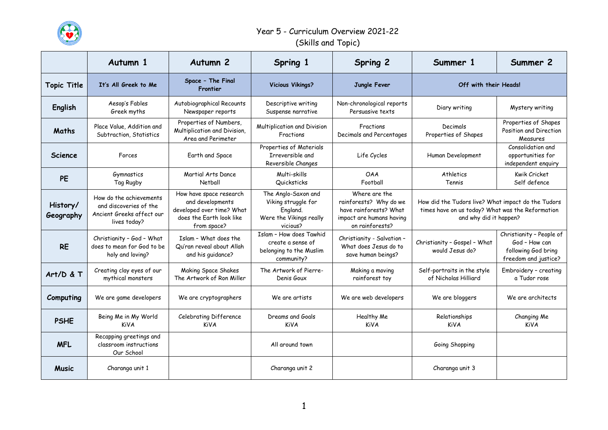

|                       | Autumn 1                                                                                       | Autumn <sub>2</sub>                                                                                                 | Spring 1                                                                                      | <b>Spring 2</b>                                                                                                  | Summer 1                                                                                                                         | Summer 2                                                                                 |
|-----------------------|------------------------------------------------------------------------------------------------|---------------------------------------------------------------------------------------------------------------------|-----------------------------------------------------------------------------------------------|------------------------------------------------------------------------------------------------------------------|----------------------------------------------------------------------------------------------------------------------------------|------------------------------------------------------------------------------------------|
| <b>Topic Title</b>    | It's All Greek to Me                                                                           | Space - The Final<br>Frontier                                                                                       | <b>Vicious Vikings?</b>                                                                       | Jungle Fever                                                                                                     | Off with their Heads!                                                                                                            |                                                                                          |
| English               | Aesop's Fables<br>Greek myths                                                                  | Autobiographical Recounts<br>Newspaper reports                                                                      | Descriptive writing<br>Suspense narrative                                                     | Non-chronological reports<br>Persuasive texts                                                                    | Diary writing                                                                                                                    | Mystery writing                                                                          |
| Maths                 | Place Value, Addition and<br>Subtraction, Statistics                                           | Properties of Numbers,<br>Multiplication and Division,<br>Area and Perimeter                                        | Multiplication and Division<br>Fractions                                                      | Fractions<br>Decimals and Percentages                                                                            | Decimals<br>Properties of Shapes                                                                                                 | Properties of Shapes<br>Position and Direction<br>Measures                               |
| <b>Science</b>        | Forces                                                                                         | Earth and Space                                                                                                     | Properties of Materials<br>Irreversible and<br>Reversible Changes                             | Life Cycles                                                                                                      | Human Development                                                                                                                | Consolidation and<br>opportunities for<br>independent enquiry                            |
| <b>PE</b>             | Gymnastics<br>Tag Rugby                                                                        | Martial Arts Dance<br>Netball                                                                                       | Multi-skills<br>Quicksticks                                                                   | <b>OAA</b><br>Football                                                                                           | Athletics<br>Tennis                                                                                                              | Kwik Cricket<br>Self defence                                                             |
| History/<br>Geography | How do the achievements<br>and discoveries of the<br>Ancient Greeks affect our<br>lives today? | How have space research<br>and developments<br>developed over time? What<br>does the Earth look like<br>from space? | The Anglo-Saxon and<br>Viking struggle for<br>England.<br>Were the Vikings really<br>vicious? | Where are the<br>rainforests? Why do we<br>have rainforests? What<br>impact are humans having<br>on rainforests? | How did the Tudors live? What impact do the Tudors<br>times have on us today? What was the Reformation<br>and why did it happen? |                                                                                          |
| <b>RE</b>             | Christianity - God - What<br>does to mean for God to be<br>holy and loving?                    | Islam - What does the<br>Qu'ran reveal about Allah<br>and his guidance?                                             | Islam - How does Tawhid<br>create a sense of<br>belonging to the Muslim<br>community?         | Christianity - Salvation -<br>What does Jesus do to<br>save human beings?                                        | Christianity - Gospel - What<br>would Jesus do?                                                                                  | Christianity - People of<br>God - How can<br>following God bring<br>freedom and justice? |
| Art/D & T             | Creating clay eyes of our<br>mythical monsters                                                 | Making Space Shakes<br>The Artwork of Ron Miller                                                                    | The Artwork of Pierre-<br>Denis Goux                                                          | Making a moving<br>rainforest toy                                                                                | Self-portraits in the style<br>of Nicholas Hilliard                                                                              | Embroidery - creating<br>a Tudor rose                                                    |
| Computing             | We are game developers                                                                         | We are cryptographers                                                                                               | We are artists                                                                                | We are web developers                                                                                            | We are bloggers                                                                                                                  | We are architects                                                                        |
| <b>PSHE</b>           | Being Me in My World<br><b>KiVA</b>                                                            | Celebrating Difference<br><b>KiVA</b>                                                                               | Dreams and Goals<br><b>KiVA</b>                                                               | Healthy Me<br><b>KiVA</b>                                                                                        | Relationships<br><b>KiVA</b>                                                                                                     | Changing Me<br><b>KiVA</b>                                                               |
| <b>MFL</b>            | Recapping greetings and<br>classroom instructions<br>Our School                                |                                                                                                                     | All around town                                                                               |                                                                                                                  | Going Shopping                                                                                                                   |                                                                                          |
| <b>Music</b>          | Charanga unit 1                                                                                |                                                                                                                     | Charanga unit 2                                                                               |                                                                                                                  | Charanga unit 3                                                                                                                  |                                                                                          |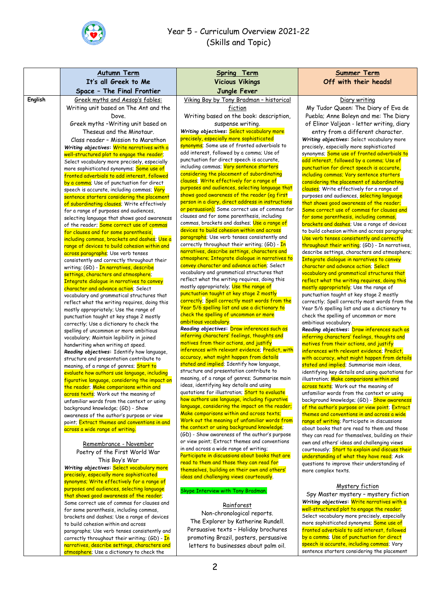

|         | <b>Autumn Term</b>                                                                            | <b>Spring Term</b>                                                                             | <b>Summer Term</b>                                                                               |
|---------|-----------------------------------------------------------------------------------------------|------------------------------------------------------------------------------------------------|--------------------------------------------------------------------------------------------------|
|         | It's all Greek to Me                                                                          | <b>Vicious Vikings</b>                                                                         | Off with their heads!                                                                            |
|         | Space - The Final Frontier                                                                    | Jungle Fever                                                                                   |                                                                                                  |
| English | Greek myths and Aesop's fables:                                                               | Viking Boy by Tony Bradman - historical                                                        | Diary writing                                                                                    |
|         | Writing unit based on The Ant and the                                                         | fiction                                                                                        | My Tudor Queen: The Diary of Eva de                                                              |
|         | Dove.                                                                                         | Writing based on the book: description,                                                        | Puebla; Anne Boleyn and me: The Diary                                                            |
|         | Greek myths - Writing unit based on                                                           | suspense writing.<br>Writing objectives: Select vocabulary more                                | of Elinor Valjean - letter writing, diary                                                        |
|         | Theseus and the Minotaur.                                                                     | precisely, especially more sophisticated                                                       | entry from a different character.<br>Writing objectives: Select vocabulary more                  |
|         | Class reader - Mission to Marathon<br>Writing objectives: Write narratives with a             | synonyms; Some use of fronted adverbials to                                                    | precisely, especially more sophisticated                                                         |
|         | well-structured plot to engage the reader;                                                    | add interest, followed by a comma; Use of                                                      | synonyms; Some use of fronted adverbials to                                                      |
|         | Select vocabulary more precisely, especially                                                  | punctuation for direct speech is accurate,                                                     | add interest, followed by a comma; Use of                                                        |
|         | more sophisticated synonyms; Some use of                                                      | including commas; Vary sentence starters                                                       | punctuation for direct speech is accurate,                                                       |
|         | fronted adverbials to add interest, followed                                                  | considering the placement of subordinating<br>clauses; Write effectively for a range of        | including commas; Vary sentence starters<br>considering the placement of subordinating           |
|         | by a comma; Use of punctuation for direct<br>speech is accurate, including commas; Vary       | purposes and audiences, selecting language that                                                | clauses; Write effectively for a range of                                                        |
|         | sentence starters considering the placement                                                   | shows good awareness of the reader (eg first                                                   | purposes and audiences, selecting language                                                       |
|         | of subordinating clauses; Write effectively                                                   | person in a diary, direct address in instructions                                              | that shows good awareness of the reader;                                                         |
|         | for a range of purposes and audiences,                                                        | or persuasion); Some correct use of commas for                                                 | Some correct use of commas for clauses and                                                       |
|         | selecting language that shows good awareness                                                  | clauses and for some parenthesis, including<br>commas, brackets and dashes; Use a range of     | for some parenthesis, including commas,<br>brackets and dashes; Use a range of devices           |
|         | of the reader; Some correct use of commas<br>for clauses and for some parenthesis,            | devices to build cohesion within and across                                                    | to build cohesion within and across paragraphs;                                                  |
|         | including commas, brackets and dashes; Use a                                                  | paragraphs; Use verb tenses consistently and                                                   | Use verb tenses consistently and correctly                                                       |
|         | range of devices to build cohesion within and                                                 | correctly throughout their writing; (GD) - In                                                  | throughout their writing; (GD) - In narratives,                                                  |
|         | across paragraphs; Use verb tenses                                                            | narratives, describe settings, characters and                                                  | describe settings, characters and atmosphere;                                                    |
|         | consistently and correctly throughout their                                                   | atmosphere; Integrate dialogue in narratives to<br>convey character and advance action; Select | Integrate dialogue in narratives to convey<br>character and advance action; Select               |
|         | writing; (GD) - In narratives, describe<br>settings, characters and atmosphere;               | vocabulary and grammatical structures that                                                     | vocabulary and grammatical structures that                                                       |
|         | Integrate dialogue in narratives to convey                                                    | reflect what the writing requires, doing this                                                  | reflect what the writing requires, doing this                                                    |
|         | character and advance action; Select                                                          | mostly appropriately; Use the range of                                                         | mostly appropriately; Use the range of                                                           |
|         | vocabulary and grammatical structures that                                                    | punctuation taught at key stage 2 mostly<br>correctly; Spell correctly most words from the     | punctuation taught at key stage 2 mostly                                                         |
|         | reflect what the writing requires, doing this                                                 | Year 5/6 spelling list and use a dictionary to                                                 | correctly; Spell correctly most words from the<br>Year 5/6 spelling list and use a dictionary to |
|         | mostly appropriately; Use the range of<br>punctuation taught at key stage 2 mostly            | check the spelling of uncommon or more                                                         | check the spelling of uncommon or more                                                           |
|         | correctly; Use a dictionary to check the                                                      | ambitious vocabulary.                                                                          | ambitious vocabulary.                                                                            |
|         | spelling of uncommon or more ambitious                                                        | Reading objectives: Draw inferences such as                                                    | Reading objectives: Draw inferences such as                                                      |
|         | vocabulary; Maintain legibility in joined                                                     | inferring characters' feelings, thoughts and<br>motives from their actions, and justify        | inferring characters' feelings, thoughts and                                                     |
|         | handwriting when writing at speed.                                                            | inferences with relevant evidence; Predict, with                                               | motives from their actions, and justify<br>inferences with relevant evidence; Predict,           |
|         | Reading objectives: Identify how language,<br>structure and presentation contribute to        | accuracy, what might happen from details                                                       | with accuracy, what might happen from details                                                    |
|         | meaning, of a range of genres; Start to                                                       | stated and implied; Identify how language,                                                     | stated and implied; Summarise main ideas,                                                        |
|         | evaluate how authors use language, including                                                  | structure and presentation contribute to                                                       | identifying key details and using quotations for                                                 |
|         | figurative language, considering the impact on                                                | meaning, of a range of genres; Summarise main<br>ideas, identifying key details and using      | illustration; Make comparisons within and<br>across texts; Work out the meaning of               |
|         | the reader; Make comparisons within and                                                       | quotations for illustration; Start to evaluate                                                 | unfamiliar words from the context or using                                                       |
|         | across texts; Work out the meaning of<br>unfamiliar words from the context or using           | how authors use language, including figurative                                                 | background knowledge; (GD) - Show awareness                                                      |
|         | background knowledge; (GD) - Show                                                             | language, considering the impact on the reader;                                                | of the author's purpose or view point; Extract                                                   |
|         | awareness of the author's purpose or view                                                     | Make comparisons within and across texts;                                                      | themes and conventions in and across a wide                                                      |
|         | point; Extract themes and conventions in and                                                  | Work out the meaning of unfamiliar words from<br>the context or using background knowledge;    | range of writing; Participate in discussions<br>about books that are read to them and those      |
|         | across a wide range of writing.                                                               | (GD) - Show awareness of the author's purpose                                                  | they can read for themselves, building on their                                                  |
|         | Remembrance - November                                                                        | or view point; Extract themes and conventions                                                  | own and others' ideas and challenging views                                                      |
|         | Poetry of the First World War                                                                 | in and across a wide range of writing;                                                         | courteously; Start to explain and discuss their                                                  |
|         | This Boy's War                                                                                | Participate in discussions about books that are                                                | understanding of what they have read; Ask                                                        |
|         | Writing objectives: Select vocabulary more                                                    | read to them and those they can read for<br>themselves, building on their own and others'      | questions to improve their understanding of                                                      |
|         | precisely, especially more sophisticated                                                      | ideas and challenging views courteously.                                                       | more complex texts.                                                                              |
|         | synonyms; Write effectively for a range of                                                    |                                                                                                | Mystery fiction                                                                                  |
|         | purposes and audiences, selecting language<br>that shows good awareness of the reader;        | Skype Interview with Tony Bradman.                                                             | Spy Master mystery - mystery fiction                                                             |
|         | Some correct use of commas for clauses and                                                    |                                                                                                | Writing objectives: Write narratives with a                                                      |
|         | for some parenthesis, including commas,                                                       | Rainforest                                                                                     | well-structured plot to engage the reader;                                                       |
|         | brackets and dashes; Use a range of devices                                                   | Non-chronological reports.<br>The Explorer by Katherine Rundell.                               | Select vocabulary more precisely, especially                                                     |
|         | to build cohesion within and across                                                           | Persuasive texts - Holiday brochures                                                           | more sophisticated synonyms; Some use of<br>fronted adverbials to add interest, followed         |
|         | paragraphs; Use verb tenses consistently and<br>correctly throughout their writing; (GD) - In | promoting Brazil, posters, persuasive                                                          | by a comma; Use of punctuation for direct                                                        |
|         | narratives, describe settings, characters and                                                 | letters to businesses about palm oil.                                                          | speech is accurate, including commas; Vary                                                       |
|         | atmosphere; Use a dictionary to check the                                                     |                                                                                                | sentence starters considering the placement                                                      |
|         |                                                                                               |                                                                                                |                                                                                                  |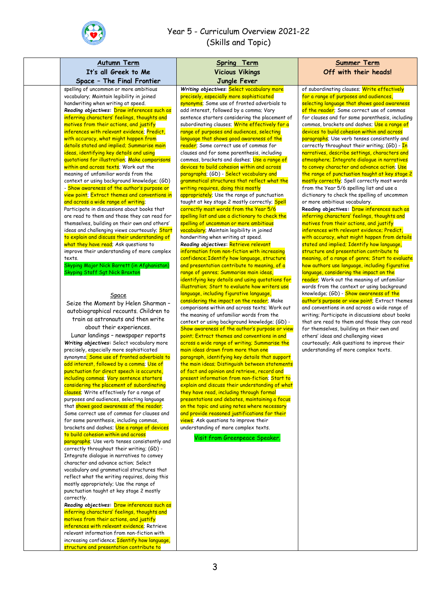

| <b>Autumn Term</b><br>It's all Greek to Me                                                             | <b>Spring Term</b>                                                                                | <b>Summer Term</b>                                                                               |
|--------------------------------------------------------------------------------------------------------|---------------------------------------------------------------------------------------------------|--------------------------------------------------------------------------------------------------|
| Space - The Final Frontier                                                                             | <b>Vicious Vikings</b><br>Jungle Fever                                                            | Off with their heads!                                                                            |
| spelling of uncommon or more ambitious                                                                 | Writing objectives: Select vocabulary more                                                        | of subordinating clauses; Write effectively                                                      |
| vocabulary; Maintain legibility in joined                                                              | precisely, especially more sophisticated                                                          | for a range of purposes and audiences,                                                           |
| handwriting when writing at speed.                                                                     | synonyms; Some use of fronted adverbials to                                                       | selecting language that shows good awareness                                                     |
| Reading objectives: Draw inferences such as                                                            | add interest, followed by a comma; Vary                                                           | of the reader; Some correct use of commas                                                        |
| inferring characters' feelings, thoughts and                                                           | sentence starters considering the placement of                                                    | for clauses and for some parenthesis, including                                                  |
| motives from their actions, and justify<br>inferences with relevant evidence; Predict,                 | subordinating clauses; Write effectively for a<br>range of purposes and audiences, selecting      | commas, brackets and dashes; Use a range of<br>devices to build cohesion within and across       |
| with accuracy, what might happen from                                                                  | language that shows good awareness of the                                                         | paragraphs; Use verb tenses consistently and                                                     |
| details stated and implied; Summarise main                                                             | reader; Some correct use of commas for                                                            | correctly throughout their writing; (GD) - In                                                    |
| ideas, identifying key details and using                                                               | clauses and for some parenthesis, including                                                       | narratives, describe settings, characters and                                                    |
| quotations for illustration; Make comparisons                                                          | commas, brackets and dashes; Use a range of                                                       | atmosphere; Integrate dialogue in narratives                                                     |
| within and across texts; Work out the<br>meaning of unfamiliar words from the                          | devices to build cohesion within and across<br>paragraphs; (GD) - Select vocabulary and           | to convey character and advance action; Use<br>the range of punctuation taught at key stage 2    |
| context or using background knowledge; (GD)                                                            | grammatical structures that reflect what the                                                      | mostly correctly; Spell correctly most words                                                     |
| - Show awareness of the author's purpose or                                                            | writing requires, doing this mostly                                                               | from the Year 5/6 spelling list and use a                                                        |
| view point; Extract themes and conventions in                                                          | appropriately: Use the range of punctuation                                                       | dictionary to check the spelling of uncommon                                                     |
| and across a wide range of writing;                                                                    | taught at key stage 2 mostly correctly; Spell                                                     | or more ambitious vocabulary.                                                                    |
| Participate in discussions about books that                                                            | correctly most words from the Year 5/6                                                            | Reading objectives: Draw inferences such as                                                      |
| are read to them and those they can read for<br>themselves, building on their own and others'          | spelling list and use a dictionary to check the<br>spelling of uncommon or more ambitious         | inferring characters' feelings, thoughts and<br>motives from their actions, and justify          |
| ideas and challenging views courteously; Start                                                         | vocabulary; Maintain legibility in joined                                                         | inferences with relevant evidence; Predict,                                                      |
| to explain and discuss their understanding of                                                          | handwriting when writing at speed.                                                                | with accuracy, what might happen from details                                                    |
| what they have read; Ask questions to                                                                  | Reading objectives: Retrieve relevant                                                             | stated and implied; Identify how language,                                                       |
| improve their understanding of more complex                                                            | information from non-fiction with increasing                                                      | structure and presentation contribute to                                                         |
| texts.                                                                                                 | confidence; Identify how language, structure                                                      | meaning, of a range of genre; Start to evaluate                                                  |
| Skyping Major Nick Barrett (in Afghanistan)<br><b>Skyping Staff Sgt Nick Braxton</b>                   | and presentation contribute to meaning, of a<br>range of genres; Summarise main ideas,            | how authors use language, including figurative<br>language, considering the impact on the        |
|                                                                                                        | identifying key details and using quotations for                                                  | reader; Work out the meaning of unfamiliar                                                       |
|                                                                                                        | illustration; Start to evaluate how writers use                                                   | words from the context or using background                                                       |
| Space                                                                                                  | language, including figurative language,                                                          | knowledge; (GD) - Show awareness of the                                                          |
| Seize the Moment by Helen Sharman -                                                                    | considering the impact on the reader; Make                                                        | author's purpose or view point; Extract themes                                                   |
| autobiographical recounts. Children to                                                                 | comparisons within and across texts; Work out                                                     | and conventions in and across a wide range of                                                    |
| train as astronauts and then write                                                                     | the meaning of unfamiliar words from the<br>context or using background knowledge; (GD) -         | writing; Participate in discussions about books<br>that are read to them and those they can read |
| about their experiences.                                                                               | Show awareness of the author's purpose or view                                                    | for themselves, building on their own and                                                        |
| Lunar landings - newspaper reports                                                                     | point; Extract themes and conventions in and                                                      | others' ideas and challenging views                                                              |
| Writing objectives: Select vocabulary more                                                             | across a wide range of writing; Summarise the                                                     | courteously; Ask questions to improve their                                                      |
| precisely, especially more sophisticated                                                               | main ideas drawn from more than one                                                               | understanding of more complex texts.                                                             |
| synonyms <mark>; Some use of fronted adverbials to</mark><br>add interest, followed by a comma; Use of | paragraph, identifying key details that support<br>the main ideas; Distinguish between statements |                                                                                                  |
| punctuation for direct speech is accurate,                                                             | of fact and opinion and retrieve, record and                                                      |                                                                                                  |
| including commas; Vary sentence starters                                                               | present information from non-fiction; Start to                                                    |                                                                                                  |
| considering the placement of subordinating                                                             | explain and discuss their understanding of what                                                   |                                                                                                  |
| clauses; Write effectively for a range of                                                              | they have read, including through formal                                                          |                                                                                                  |
| purposes and audiences, selecting language<br>that shows good awareness of the reader;                 | presentations and debates, maintaining a focus<br>on the topic and using notes where necessary    |                                                                                                  |
| Some correct use of commas for clauses and                                                             | and provide reasoned justifications for their                                                     |                                                                                                  |
| for some parenthesis, including commas,                                                                | views; Ask questions to improve their                                                             |                                                                                                  |
| brackets and dashes; Use a range of devices                                                            | understanding of more complex texts.                                                              |                                                                                                  |
| to build cohesion within and across                                                                    | Visit from Greenpeace Speaker.                                                                    |                                                                                                  |
| paragraphs; Use verb tenses consistently and<br>correctly throughout their writing; (GD) -             |                                                                                                   |                                                                                                  |
| Integrate dialogue in narratives to convey                                                             |                                                                                                   |                                                                                                  |
| character and advance action; Select                                                                   |                                                                                                   |                                                                                                  |
| vocabulary and grammatical structures that                                                             |                                                                                                   |                                                                                                  |
| reflect what the writing requires, doing this                                                          |                                                                                                   |                                                                                                  |
| mostly appropriately; Use the range of                                                                 |                                                                                                   |                                                                                                  |
| punctuation taught at key stage 2 mostly<br>correctly.                                                 |                                                                                                   |                                                                                                  |
| Reading objectives: Draw inferences such as                                                            |                                                                                                   |                                                                                                  |
| inferring characters' feelings, thoughts and                                                           |                                                                                                   |                                                                                                  |
| motives from their actions, and justify                                                                |                                                                                                   |                                                                                                  |
| inferences with relevant evidence; Retrieve                                                            |                                                                                                   |                                                                                                  |
| relevant information from non-fiction with                                                             |                                                                                                   |                                                                                                  |
| increasing confidence; Identify how language,<br>structure and presentation contribute to              |                                                                                                   |                                                                                                  |
|                                                                                                        |                                                                                                   |                                                                                                  |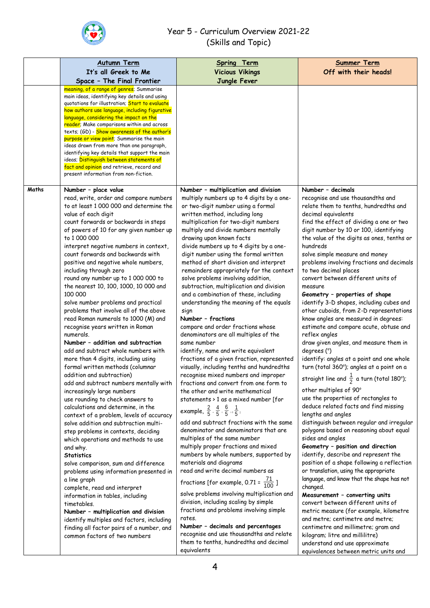

|       | <b>Autumn Term</b>                                                                                                                                                                                                                                                                                                                                                                                                                                                                                                                                                                                                                                                                                                                                                                                                                                                                                                                                                                                                                                                                                                                                                                                                                                                                                                                                                                                                                                                                                                                  | <b>Spring Term</b>                                                                                                                                                                                                                                                                                                                                                                                                                                                                                                                                                                                                                                                                                                                                                                                                                                                                                                                                                                                                                                                                                                                                                                                                                                                                                                                                                                                                                                                                                                                                                                                                                                                                                     | <b>Summer Term</b>                                                                                                                                                                                                                                                                                                                                                                                                                                                                                                                                                                                                                                                                                                                                                                                                                                                                                                                                                                                                                                                                                                                                                                                                                                                                                                                                                                                                                                                                                                                                                                                                                    |
|-------|-------------------------------------------------------------------------------------------------------------------------------------------------------------------------------------------------------------------------------------------------------------------------------------------------------------------------------------------------------------------------------------------------------------------------------------------------------------------------------------------------------------------------------------------------------------------------------------------------------------------------------------------------------------------------------------------------------------------------------------------------------------------------------------------------------------------------------------------------------------------------------------------------------------------------------------------------------------------------------------------------------------------------------------------------------------------------------------------------------------------------------------------------------------------------------------------------------------------------------------------------------------------------------------------------------------------------------------------------------------------------------------------------------------------------------------------------------------------------------------------------------------------------------------|--------------------------------------------------------------------------------------------------------------------------------------------------------------------------------------------------------------------------------------------------------------------------------------------------------------------------------------------------------------------------------------------------------------------------------------------------------------------------------------------------------------------------------------------------------------------------------------------------------------------------------------------------------------------------------------------------------------------------------------------------------------------------------------------------------------------------------------------------------------------------------------------------------------------------------------------------------------------------------------------------------------------------------------------------------------------------------------------------------------------------------------------------------------------------------------------------------------------------------------------------------------------------------------------------------------------------------------------------------------------------------------------------------------------------------------------------------------------------------------------------------------------------------------------------------------------------------------------------------------------------------------------------------------------------------------------------------|---------------------------------------------------------------------------------------------------------------------------------------------------------------------------------------------------------------------------------------------------------------------------------------------------------------------------------------------------------------------------------------------------------------------------------------------------------------------------------------------------------------------------------------------------------------------------------------------------------------------------------------------------------------------------------------------------------------------------------------------------------------------------------------------------------------------------------------------------------------------------------------------------------------------------------------------------------------------------------------------------------------------------------------------------------------------------------------------------------------------------------------------------------------------------------------------------------------------------------------------------------------------------------------------------------------------------------------------------------------------------------------------------------------------------------------------------------------------------------------------------------------------------------------------------------------------------------------------------------------------------------------|
|       | It's all Greek to Me                                                                                                                                                                                                                                                                                                                                                                                                                                                                                                                                                                                                                                                                                                                                                                                                                                                                                                                                                                                                                                                                                                                                                                                                                                                                                                                                                                                                                                                                                                                | <b>Vicious Vikings</b>                                                                                                                                                                                                                                                                                                                                                                                                                                                                                                                                                                                                                                                                                                                                                                                                                                                                                                                                                                                                                                                                                                                                                                                                                                                                                                                                                                                                                                                                                                                                                                                                                                                                                 | Off with their heads!                                                                                                                                                                                                                                                                                                                                                                                                                                                                                                                                                                                                                                                                                                                                                                                                                                                                                                                                                                                                                                                                                                                                                                                                                                                                                                                                                                                                                                                                                                                                                                                                                 |
|       | Space - The Final Frontier                                                                                                                                                                                                                                                                                                                                                                                                                                                                                                                                                                                                                                                                                                                                                                                                                                                                                                                                                                                                                                                                                                                                                                                                                                                                                                                                                                                                                                                                                                          | Jungle Fever                                                                                                                                                                                                                                                                                                                                                                                                                                                                                                                                                                                                                                                                                                                                                                                                                                                                                                                                                                                                                                                                                                                                                                                                                                                                                                                                                                                                                                                                                                                                                                                                                                                                                           |                                                                                                                                                                                                                                                                                                                                                                                                                                                                                                                                                                                                                                                                                                                                                                                                                                                                                                                                                                                                                                                                                                                                                                                                                                                                                                                                                                                                                                                                                                                                                                                                                                       |
|       | meaning, of a range of genres; Summarise<br>main ideas, identifying key details and using<br>quotations for illustration; Start to evaluate<br>how authors use language, including figurative<br>language, considering the impact on the<br>reader; Make comparisons within and across<br>texts; (GD) - Show awareness of the author's<br>purpose or view point; Summarise the main<br>ideas drawn from more than one paragraph,<br>identifying key details that support the main<br>ideas; Distinguish between statements of<br>fact and opinion and retrieve, record and<br>present information from non-fiction.                                                                                                                                                                                                                                                                                                                                                                                                                                                                                                                                                                                                                                                                                                                                                                                                                                                                                                                 |                                                                                                                                                                                                                                                                                                                                                                                                                                                                                                                                                                                                                                                                                                                                                                                                                                                                                                                                                                                                                                                                                                                                                                                                                                                                                                                                                                                                                                                                                                                                                                                                                                                                                                        |                                                                                                                                                                                                                                                                                                                                                                                                                                                                                                                                                                                                                                                                                                                                                                                                                                                                                                                                                                                                                                                                                                                                                                                                                                                                                                                                                                                                                                                                                                                                                                                                                                       |
| Maths | Number - place value                                                                                                                                                                                                                                                                                                                                                                                                                                                                                                                                                                                                                                                                                                                                                                                                                                                                                                                                                                                                                                                                                                                                                                                                                                                                                                                                                                                                                                                                                                                | Number - multiplication and division                                                                                                                                                                                                                                                                                                                                                                                                                                                                                                                                                                                                                                                                                                                                                                                                                                                                                                                                                                                                                                                                                                                                                                                                                                                                                                                                                                                                                                                                                                                                                                                                                                                                   | Number - decimals                                                                                                                                                                                                                                                                                                                                                                                                                                                                                                                                                                                                                                                                                                                                                                                                                                                                                                                                                                                                                                                                                                                                                                                                                                                                                                                                                                                                                                                                                                                                                                                                                     |
|       | read, write, order and compare numbers<br>to at least 1 000 000 and determine the<br>value of each digit<br>count forwards or backwards in steps<br>of powers of 10 for any given number up<br>to 1 000 000<br>interpret negative numbers in context,<br>count forwards and backwards with<br>positive and negative whole numbers,<br>including through zero<br>round any number up to 1 000 000 to<br>the nearest 10, 100, 1000, 10 000 and<br>100 000<br>solve number problems and practical<br>problems that involve all of the above<br>read Roman numerals to 1000 (M) and<br>recognise years written in Roman<br>numerals.<br>Number - addition and subtraction<br>add and subtract whole numbers with<br>more than 4 digits, including using<br>formal written methods (columnar<br>addition and subtraction)<br>add and subtract numbers mentally with<br>increasingly large numbers<br>use rounding to check answers to<br>calculations and determine, in the<br>context of a problem, levels of accuracy<br>solve addition and subtraction multi-<br>step problems in contexts, deciding<br>which operations and methods to use<br>and why.<br><b>Statistics</b><br>solve comparison, sum and difference<br>problems using information presented in<br>a line graph<br>complete, read and interpret<br>information in tables, including<br>timetables.<br>Number - multiplication and division<br>identify multiples and factors, including<br>finding all factor pairs of a number, and<br>common factors of two numbers | multiply numbers up to 4 digits by a one-<br>or two-digit number using a formal<br>written method, including long<br>multiplication for two-digit numbers<br>multiply and divide numbers mentally<br>drawing upon known facts<br>divide numbers up to 4 digits by a one-<br>digit number using the formal written<br>method of short division and interpret<br>remainders appropriately for the context<br>solve problems involving addition,<br>subtraction, multiplication and division<br>and a combination of these, including<br>understanding the meaning of the equals<br>sign<br>Number - fractions<br>compare and order fractions whose<br>denominators are all multiples of the<br>same number<br>identify, name and write equivalent<br>fractions of a given fraction, represented<br>visually, including tenths and hundredths<br>recognise mixed numbers and improper<br>fractions and convert from one form to<br>the other and write mathematical<br>statements > 1 as a mixed number [for<br>example, $\frac{2}{5} \cdot \frac{4}{5} \cdot \frac{6}{5} = \frac{1}{5}$<br>add and subtract fractions with the same<br>denominator and denominators that are<br>multiples of the same number<br>multiply proper fractions and mixed<br>numbers by whole numbers, supported by<br>materials and diagrams<br>read and write decimal numbers as<br>fractions [for example, 0.71 = $\frac{71}{100}$ ]<br>solve problems involving multiplication and<br>division, including scaling by simple<br>fractions and problems involving simple<br>rates.<br>Number - decimals and percentages<br>recognise and use thousandths and relate<br>them to tenths, hundredths and decimal<br>equivalents | recognise and use thousandths and<br>relate them to tenths, hundredths and<br>decimal equivalents<br>find the effect of dividing a one or two<br>digit number by 10 or 100, identifying<br>the value of the digits as ones, tenths or<br>hundreds<br>solve simple measure and money<br>problems involving fractions and decimals<br>to two decimal places<br>convert between different units of<br>measure<br>Geometry - properties of shape<br>identify 3-D shapes, including cubes and<br>other cuboids, from 2-D representations<br>know angles are measured in degrees:<br>estimate and compare acute, obtuse and<br>reflex angles<br>draw given angles, and measure them in<br>degrees (°)<br>identify: angles at a point and one whole<br>turn (total 360°); angles at a point on a<br>straight line and $\frac{1}{2}$ a turn (total 180°);<br>other multiples of 90°<br>use the properties of rectangles to<br>deduce related facts and find missing<br>lengths and angles<br>distinguish between regular and irregular<br>polygons based on reasoning about equal<br>sides and angles<br>Geometry - position and direction<br>identify, describe and represent the<br>position of a shape following a reflection<br>or translation, using the appropriate<br>language, and know that the shape has not<br>changed.<br>Measurement - converting units<br>convert between different units of<br>metric measure (for example, kilometre<br>and metre; centimetre and metre;<br>centimetre and millimetre; gram and<br>kilogram; litre and millilitre)<br>understand and use approximate<br>equivalences between metric units and |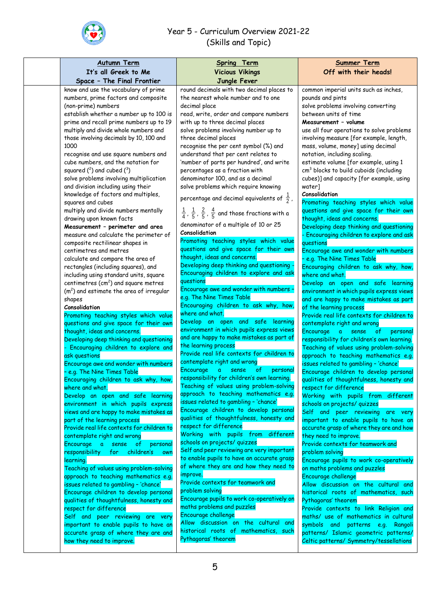

| <b>Autumn Term</b><br>It's all Greek to Me                                                                                                                                                                                                                                                                                                                                                                                                                                                                                                                                                                                                                                                                                                                                                                                                                                                                                                                                                                                                                                                                                                                                                                                                                                                                                                                                                                                                                                                                                                                                                                                                                                                                                                                                                                                           | Spring Term<br><b>Vicious Vikings</b>                                                                                                                                                                                                                                                                                                                                                                                                                                                                                                                                                                                                                                                                                                                                                                                                                                                                                                                                                                                                                                                                                                                                                                                                                                                                                                                                                                                                                                                                                                                                                                                                                                                                                                                                                                                                                                                                            | <b>Summer Term</b><br>Off with their heads!                                                                                                                                                                                                                                                                                                                                                                                                                                                                                                                                                                                                                                                                                                                                                                                                                                                                                                                                                                                                                                                                                                                                                                                                                                                                                                                                                                                                                                                                                                                                                                                                                                                                                                                                                                          |
|--------------------------------------------------------------------------------------------------------------------------------------------------------------------------------------------------------------------------------------------------------------------------------------------------------------------------------------------------------------------------------------------------------------------------------------------------------------------------------------------------------------------------------------------------------------------------------------------------------------------------------------------------------------------------------------------------------------------------------------------------------------------------------------------------------------------------------------------------------------------------------------------------------------------------------------------------------------------------------------------------------------------------------------------------------------------------------------------------------------------------------------------------------------------------------------------------------------------------------------------------------------------------------------------------------------------------------------------------------------------------------------------------------------------------------------------------------------------------------------------------------------------------------------------------------------------------------------------------------------------------------------------------------------------------------------------------------------------------------------------------------------------------------------------------------------------------------------|------------------------------------------------------------------------------------------------------------------------------------------------------------------------------------------------------------------------------------------------------------------------------------------------------------------------------------------------------------------------------------------------------------------------------------------------------------------------------------------------------------------------------------------------------------------------------------------------------------------------------------------------------------------------------------------------------------------------------------------------------------------------------------------------------------------------------------------------------------------------------------------------------------------------------------------------------------------------------------------------------------------------------------------------------------------------------------------------------------------------------------------------------------------------------------------------------------------------------------------------------------------------------------------------------------------------------------------------------------------------------------------------------------------------------------------------------------------------------------------------------------------------------------------------------------------------------------------------------------------------------------------------------------------------------------------------------------------------------------------------------------------------------------------------------------------------------------------------------------------------------------------------------------------|----------------------------------------------------------------------------------------------------------------------------------------------------------------------------------------------------------------------------------------------------------------------------------------------------------------------------------------------------------------------------------------------------------------------------------------------------------------------------------------------------------------------------------------------------------------------------------------------------------------------------------------------------------------------------------------------------------------------------------------------------------------------------------------------------------------------------------------------------------------------------------------------------------------------------------------------------------------------------------------------------------------------------------------------------------------------------------------------------------------------------------------------------------------------------------------------------------------------------------------------------------------------------------------------------------------------------------------------------------------------------------------------------------------------------------------------------------------------------------------------------------------------------------------------------------------------------------------------------------------------------------------------------------------------------------------------------------------------------------------------------------------------------------------------------------------------|
| Space - The Final Frontier                                                                                                                                                                                                                                                                                                                                                                                                                                                                                                                                                                                                                                                                                                                                                                                                                                                                                                                                                                                                                                                                                                                                                                                                                                                                                                                                                                                                                                                                                                                                                                                                                                                                                                                                                                                                           | Jungle Fever                                                                                                                                                                                                                                                                                                                                                                                                                                                                                                                                                                                                                                                                                                                                                                                                                                                                                                                                                                                                                                                                                                                                                                                                                                                                                                                                                                                                                                                                                                                                                                                                                                                                                                                                                                                                                                                                                                     |                                                                                                                                                                                                                                                                                                                                                                                                                                                                                                                                                                                                                                                                                                                                                                                                                                                                                                                                                                                                                                                                                                                                                                                                                                                                                                                                                                                                                                                                                                                                                                                                                                                                                                                                                                                                                      |
| know and use the vocabulary of prime<br>numbers, prime factors and composite<br>(non-prime) numbers<br>establish whether a number up to 100 is<br>prime and recall prime numbers up to 19<br>multiply and divide whole numbers and<br>those involving decimals by 10, 100 and<br>1000<br>recognise and use square numbers and<br>cube numbers, and the notation for<br>squared $(^2)$ and cubed $(^3)$<br>solve problems involving multiplication<br>and division including using their<br>knowledge of factors and multiples,<br>squares and cubes<br>multiply and divide numbers mentally<br>drawing upon known facts<br>Measurement - perimeter and area<br>measure and calculate the perimeter of<br>composite rectilinear shapes in<br>centimetres and metres<br>calculate and compare the area of<br>rectangles (including squares), and<br>including using standard units, square<br>centimetres $(cm2)$ and square metres<br>$(m2)$ and estimate the area of irregular<br>shapes<br>Consolidation<br>Promoting teaching styles which value<br>questions and give space for their own<br>thought, ideas and concerns.<br>Developing deep thinking and questioning<br>- Encouraging children to explore and<br>ask questions<br>Encourage awe and wonder with numbers<br>- e.g. The Nine Times Table<br>Encouraging children to ask why, how,<br>where and what.<br>Develop an open and safe learning<br>environment in which pupils express<br>views and are happy to make mistakes as<br>part of the learning process<br>Provide real life contexts for children to<br>contemplate right and wrong<br>Encourage a sense of<br>personal<br>children's<br>responsibility for<br>own<br>learning.<br>Teaching of values using problem-solving<br>approach to teaching mathematics e.g.<br>issues related to gambling - 'chance' | round decimals with two decimal places to<br>the nearest whole number and to one<br>decimal place<br>read, write, order and compare numbers<br>with up to three decimal places<br>solve problems involving number up to<br>three decimal places<br>recognise the per cent symbol (%) and<br>understand that per cent relates to<br>'number of parts per hundred', and write<br>percentages as a fraction with<br>denominator 100, and as a decimal<br>solve problems which require knowing<br>percentage and decimal equivalents of $\frac{1}{2}$ ,<br>$\frac{1}{4}$ , $\frac{1}{5}$ , $\frac{2}{5}$ , $\frac{4}{5}$ and those fractions with a<br>denominator of a multiple of 10 or 25<br>Consolidation<br>Promoting teaching styles which value<br>questions and give space for their own<br>thought, ideas and concerns.<br>Developing deep thinking and questioning.<br>Encouraging children to explore and ask<br>questions<br>Encourage awe and wonder with numbers -<br>e.g. The Nine Times Table<br>Encouraging children to ask why, how,<br>where and what.<br>Develop an open and safe learning<br>environment in which pupils express views<br>and are happy to make mistakes as part of<br>the learning process<br>Provide real life contexts for children to<br>contemplate right and wrong<br>Encourage<br>a<br>sense<br>of<br>personal<br>responsibility for children's own learning.<br>Teaching of values using problem-solving<br>approach to teaching mathematics e.g.<br>issues related to gambling - 'chance'<br>Encourage children to develop personal<br>qualities of thoughtfulness, honesty and<br>respect for difference<br>Working with pupils from different<br>schools on projects/ quizzes<br>Self and peer reviewing are very important<br>to enable pupils to have an accurate grasp<br>of where they are and how they need to<br>improve.<br>Provide contexts for teamwork and | common imperial units such as inches,<br>pounds and pints<br>solve problems involving converting<br>between units of time<br>Measurement - volume<br>use all four operations to solve problems<br>involving measure [for example, length,<br>mass, volume, money] using decimal<br>notation, including scaling.<br>estimate volume [for example, using 1<br>cm <sup>3</sup> blocks to build cuboids (including<br>cubes)] and capacity [for example, using<br>water]<br>Consolidation<br>Promoting teaching styles which value<br>questions and give space for their own<br>thought, ideas and concerns.<br>Developing deep thinking and questioning<br>- Encouraging children to explore and ask<br>questions<br>Encourage awe and wonder with numbers<br>- e.g. The Nine Times Table<br>Encouraging children to ask why, how,<br>where and what.<br>Develop an open and safe learning<br>environment in which pupils express views<br>and are happy to make mistakes as part<br>of the learning process<br>Provide real life contexts for children to<br>contemplate right and wrong<br>Encourage a<br>sense<br>personal<br>— of ∶<br>responsibility for children's own learning.<br>Teaching of values using problem-solving<br>approach to teaching mathematics e.g.<br>issues related to gambling - 'chance'<br>Encourage children to develop personal<br>qualities of thoughtfulness, honesty and<br>respect for difference<br>Working with pupils from different<br>schools on projects/ quizzes<br>Self and peer reviewing are very<br>important to enable pupils to have an<br>accurate grasp of where they are and how<br>they need to improve.<br>Provide contexts for teamwork and<br>problem solving<br>Encourage pupils to work co-operatively<br>on maths problems and puzzles<br>Encourage challenge |
| Encourage children to develop personal<br>qualities of thoughtfulness, honesty and<br>respect for difference<br>Self and peer reviewing are very<br>important to enable pupils to have an<br>accurate grasp of where they are and<br>how they need to improve.                                                                                                                                                                                                                                                                                                                                                                                                                                                                                                                                                                                                                                                                                                                                                                                                                                                                                                                                                                                                                                                                                                                                                                                                                                                                                                                                                                                                                                                                                                                                                                       | problem solving<br>Encourage pupils to work co-operatively on<br>maths problems and puzzles<br>Encourage challenge<br>Allow discussion on the cultural and<br>historical roots of mathematics, such<br>Pythagoras' theorem                                                                                                                                                                                                                                                                                                                                                                                                                                                                                                                                                                                                                                                                                                                                                                                                                                                                                                                                                                                                                                                                                                                                                                                                                                                                                                                                                                                                                                                                                                                                                                                                                                                                                       | Allow discussion on the cultural and<br>historical roots of mathematics, such<br>Pythagoras' theorem<br>Provide contexts to link Religion and<br>maths/ use of mathematics in cultural<br>symbols and patterns e.g. Rangoli<br>patterns/ Islamic geometric patterns/<br>Celtic patterns/ Symmetry/tessellations                                                                                                                                                                                                                                                                                                                                                                                                                                                                                                                                                                                                                                                                                                                                                                                                                                                                                                                                                                                                                                                                                                                                                                                                                                                                                                                                                                                                                                                                                                      |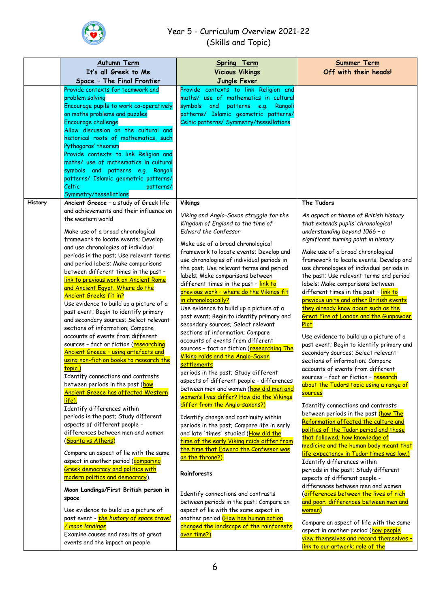

|         | <b>Autumn Term</b>                                                                                                                                                                                                                                                                                                                                                                                                                                                                                                                                                                                                                                                                                                                                                                                                                                                                                                                                                                                                                                                         | Spring Term                                                                                                                                                                                                                                                                                                                                                                                                                                                                                                                                                                                                                                                                                                                                                                                                                                                                                                                                                                                                                                                                                                                      | <b>Summer Term</b>                                                                                                                                                                                                                                                                                                                                                                                                                                                                                                                                                                                                                                                                                                                                                                                                                                                                                                                                                                                                                                                                                     |
|---------|----------------------------------------------------------------------------------------------------------------------------------------------------------------------------------------------------------------------------------------------------------------------------------------------------------------------------------------------------------------------------------------------------------------------------------------------------------------------------------------------------------------------------------------------------------------------------------------------------------------------------------------------------------------------------------------------------------------------------------------------------------------------------------------------------------------------------------------------------------------------------------------------------------------------------------------------------------------------------------------------------------------------------------------------------------------------------|----------------------------------------------------------------------------------------------------------------------------------------------------------------------------------------------------------------------------------------------------------------------------------------------------------------------------------------------------------------------------------------------------------------------------------------------------------------------------------------------------------------------------------------------------------------------------------------------------------------------------------------------------------------------------------------------------------------------------------------------------------------------------------------------------------------------------------------------------------------------------------------------------------------------------------------------------------------------------------------------------------------------------------------------------------------------------------------------------------------------------------|--------------------------------------------------------------------------------------------------------------------------------------------------------------------------------------------------------------------------------------------------------------------------------------------------------------------------------------------------------------------------------------------------------------------------------------------------------------------------------------------------------------------------------------------------------------------------------------------------------------------------------------------------------------------------------------------------------------------------------------------------------------------------------------------------------------------------------------------------------------------------------------------------------------------------------------------------------------------------------------------------------------------------------------------------------------------------------------------------------|
|         | It's all Greek to Me<br>Space - The Final Frontier                                                                                                                                                                                                                                                                                                                                                                                                                                                                                                                                                                                                                                                                                                                                                                                                                                                                                                                                                                                                                         | <b>Vicious Vikings</b><br>Jungle Fever                                                                                                                                                                                                                                                                                                                                                                                                                                                                                                                                                                                                                                                                                                                                                                                                                                                                                                                                                                                                                                                                                           | Off with their heads!                                                                                                                                                                                                                                                                                                                                                                                                                                                                                                                                                                                                                                                                                                                                                                                                                                                                                                                                                                                                                                                                                  |
|         | Provide contexts for teamwork and<br>problem solving                                                                                                                                                                                                                                                                                                                                                                                                                                                                                                                                                                                                                                                                                                                                                                                                                                                                                                                                                                                                                       | Provide contexts to link Religion and<br>maths/ use of mathematics in cultural                                                                                                                                                                                                                                                                                                                                                                                                                                                                                                                                                                                                                                                                                                                                                                                                                                                                                                                                                                                                                                                   |                                                                                                                                                                                                                                                                                                                                                                                                                                                                                                                                                                                                                                                                                                                                                                                                                                                                                                                                                                                                                                                                                                        |
|         | Encourage pupils to work co-operatively<br>on maths problems and puzzles<br>Encourage challenge<br>Allow discussion on the cultural and                                                                                                                                                                                                                                                                                                                                                                                                                                                                                                                                                                                                                                                                                                                                                                                                                                                                                                                                    | symbols and patterns e.g. Rangoli<br>patterns/ Islamic geometric patterns/<br>Celtic patterns/ Symmetry/tessellations                                                                                                                                                                                                                                                                                                                                                                                                                                                                                                                                                                                                                                                                                                                                                                                                                                                                                                                                                                                                            |                                                                                                                                                                                                                                                                                                                                                                                                                                                                                                                                                                                                                                                                                                                                                                                                                                                                                                                                                                                                                                                                                                        |
|         | historical roots of mathematics, such<br>Pythagoras' theorem<br>Provide contexts to link Religion and<br>maths/ use of mathematics in cultural<br>symbols and patterns e.g.<br>Rangoli<br>patterns/ Islamic geometric patterns/                                                                                                                                                                                                                                                                                                                                                                                                                                                                                                                                                                                                                                                                                                                                                                                                                                            |                                                                                                                                                                                                                                                                                                                                                                                                                                                                                                                                                                                                                                                                                                                                                                                                                                                                                                                                                                                                                                                                                                                                  |                                                                                                                                                                                                                                                                                                                                                                                                                                                                                                                                                                                                                                                                                                                                                                                                                                                                                                                                                                                                                                                                                                        |
|         | Celtic<br>patterns/<br>Symmetry/tessellations                                                                                                                                                                                                                                                                                                                                                                                                                                                                                                                                                                                                                                                                                                                                                                                                                                                                                                                                                                                                                              |                                                                                                                                                                                                                                                                                                                                                                                                                                                                                                                                                                                                                                                                                                                                                                                                                                                                                                                                                                                                                                                                                                                                  |                                                                                                                                                                                                                                                                                                                                                                                                                                                                                                                                                                                                                                                                                                                                                                                                                                                                                                                                                                                                                                                                                                        |
| History | Ancient Greece - a study of Greek life                                                                                                                                                                                                                                                                                                                                                                                                                                                                                                                                                                                                                                                                                                                                                                                                                                                                                                                                                                                                                                     | <b>Vikings</b>                                                                                                                                                                                                                                                                                                                                                                                                                                                                                                                                                                                                                                                                                                                                                                                                                                                                                                                                                                                                                                                                                                                   | The Tudors                                                                                                                                                                                                                                                                                                                                                                                                                                                                                                                                                                                                                                                                                                                                                                                                                                                                                                                                                                                                                                                                                             |
|         | and achievements and their influence on<br>the western world<br>Make use of a broad chronological<br>framework to locate events; Develop<br>and use chronologies of individual<br>periods in the past; Use relevant terms<br>and period labels; Make comparisons<br>between different times in the past -<br>link to previous work on Ancient Rome<br>and Ancient Egypt. Where do the<br><u>Ancient Greeks fit in?</u><br>Use evidence to build up a picture of a<br>past event; Begin to identify primary<br>and secondary sources; Select relevant<br>sections of information; Compare<br>accounts of events from different<br>sources - fact or fiction (researching<br>Ancient Greece - using artefacts and<br>using non-fiction books to research the<br>topic.)<br>Identify connections and contrasts<br>between periods in the past (how<br><b>Ancient Greece has affected Western</b><br>life).<br>Identify differences within<br>periods in the past; Study different<br>aspects of different people -<br>differences between men and women<br>(Sparta vs Athens) | Viking and Anglo-Saxon struggle for the<br>Kingdom of England to the time of<br>Edward the Confessor<br>Make use of a broad chronological<br>framework to locate events; Develop and<br>use chronologies of individual periods in<br>the past; Use relevant terms and period<br>labels; Make comparisons between<br>different times in the past - link to<br>previous work - where do the Vikings fit<br>in chronologically?<br>Use evidence to build up a picture of a<br>past event; Begin to identify primary and<br>secondary sources; Select relevant<br>sections of information; Compare<br>accounts of events from different<br>sources - fact or fiction (researching The<br>Viking raids and the Anglo-Saxon<br>settlements<br>periods in the past; Study different<br>aspects of different people - differences<br>between men and women (how did men and<br>women's lives differ? How did the Vikings<br>differ from the Anglo-saxons?)<br>Identify change and continuity within<br>periods in the past; Compare life in early<br>and late 'times' studied (How did the<br>time of the early Viking raids differ from | An aspect or theme of British history<br>that extends pupils' chronological<br>understanding beyond 1066 - a<br>significant turning point in history<br>Make use of a broad chronological<br>framework to locate events; Develop and<br>use chronologies of individual periods in<br>the past; Use relevant terms and period<br>labels; Make comparisons between<br>different times in the past - link to<br>previous units and other British events<br>they already know about such as the<br><b>Great Fire of London and the Gunpowder</b><br>Plot<br>Use evidence to build up a picture of a<br>past event; Begin to identify primary and<br>secondary sources; Select relevant<br>sections of information; Compare<br>accounts of events from different<br>sources - fact or fiction - research<br>about the Tudors topic using a range of<br>sources<br>Identify connections and contrasts<br>between periods in the past (how The<br>Reformation affected the culture and<br>politics of the Tudor period and those<br>that followed; how knowledge of<br>medicine and the human body meant that |
|         | Compare an aspect of lie with the same<br>aspect in another period (comparing<br><b>Greek democracy and politics with</b><br><mark>modern politics and democracy</mark> ).                                                                                                                                                                                                                                                                                                                                                                                                                                                                                                                                                                                                                                                                                                                                                                                                                                                                                                 | the time that Edward the Confessor was<br>on the throne?)<br>Rainforests                                                                                                                                                                                                                                                                                                                                                                                                                                                                                                                                                                                                                                                                                                                                                                                                                                                                                                                                                                                                                                                         | life expectancy in Tudor times was low.)<br>Identify differences within<br>periods in the past; Study different<br>aspects of different people -                                                                                                                                                                                                                                                                                                                                                                                                                                                                                                                                                                                                                                                                                                                                                                                                                                                                                                                                                       |
|         | Moon Landings/First British person in<br>space<br>Use evidence to build up a picture of                                                                                                                                                                                                                                                                                                                                                                                                                                                                                                                                                                                                                                                                                                                                                                                                                                                                                                                                                                                    | Identify connections and contrasts<br>between periods in the past; Compare an<br>aspect of lie with the same aspect in                                                                                                                                                                                                                                                                                                                                                                                                                                                                                                                                                                                                                                                                                                                                                                                                                                                                                                                                                                                                           | differences between men and women<br>(differences between the lives of rich<br>and poor; differences between men and<br>women)                                                                                                                                                                                                                                                                                                                                                                                                                                                                                                                                                                                                                                                                                                                                                                                                                                                                                                                                                                         |
|         | past event - <i>the history of space travel</i><br><u>/ moon landings</u><br>Examine causes and results of great<br>events and the impact on people                                                                                                                                                                                                                                                                                                                                                                                                                                                                                                                                                                                                                                                                                                                                                                                                                                                                                                                        | another period (How has human action<br>changed the landscape of the rainforests<br>over time?)                                                                                                                                                                                                                                                                                                                                                                                                                                                                                                                                                                                                                                                                                                                                                                                                                                                                                                                                                                                                                                  | Compare an aspect of life with the same<br>aspect in another period (how people<br>view themselves and record themselves -<br>link to our artwork; role of the                                                                                                                                                                                                                                                                                                                                                                                                                                                                                                                                                                                                                                                                                                                                                                                                                                                                                                                                         |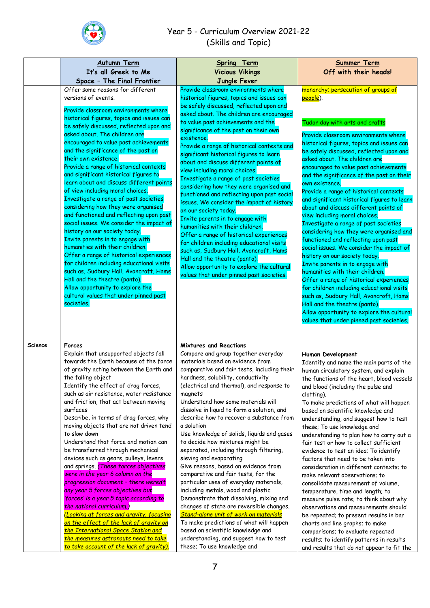

|         | <b>Autumn Term</b>                                                                                                                                                                                                                                                                                                                                                                                                                                                                                                                                                                                                                                                                                                                                                                                                                                                                                                                                                                                            | <b>Spring Term</b>                                                                                                                                                                                                                                                                                                                                                                                                                                                                                                                                                                                                                                                                                                                                                                                                                                                                                                                                                                                                        | <b>Summer Term</b>                                                                                                                                                                                                                                                                                                                                                                                                                                                                                                                                                                                                                                                                                                                                                                                                                                                                                                                                                                                                                |
|---------|---------------------------------------------------------------------------------------------------------------------------------------------------------------------------------------------------------------------------------------------------------------------------------------------------------------------------------------------------------------------------------------------------------------------------------------------------------------------------------------------------------------------------------------------------------------------------------------------------------------------------------------------------------------------------------------------------------------------------------------------------------------------------------------------------------------------------------------------------------------------------------------------------------------------------------------------------------------------------------------------------------------|---------------------------------------------------------------------------------------------------------------------------------------------------------------------------------------------------------------------------------------------------------------------------------------------------------------------------------------------------------------------------------------------------------------------------------------------------------------------------------------------------------------------------------------------------------------------------------------------------------------------------------------------------------------------------------------------------------------------------------------------------------------------------------------------------------------------------------------------------------------------------------------------------------------------------------------------------------------------------------------------------------------------------|-----------------------------------------------------------------------------------------------------------------------------------------------------------------------------------------------------------------------------------------------------------------------------------------------------------------------------------------------------------------------------------------------------------------------------------------------------------------------------------------------------------------------------------------------------------------------------------------------------------------------------------------------------------------------------------------------------------------------------------------------------------------------------------------------------------------------------------------------------------------------------------------------------------------------------------------------------------------------------------------------------------------------------------|
|         | It's all Greek to Me                                                                                                                                                                                                                                                                                                                                                                                                                                                                                                                                                                                                                                                                                                                                                                                                                                                                                                                                                                                          | <b>Vicious Vikings</b>                                                                                                                                                                                                                                                                                                                                                                                                                                                                                                                                                                                                                                                                                                                                                                                                                                                                                                                                                                                                    | Off with their heads!                                                                                                                                                                                                                                                                                                                                                                                                                                                                                                                                                                                                                                                                                                                                                                                                                                                                                                                                                                                                             |
|         | Space - The Final Frontier                                                                                                                                                                                                                                                                                                                                                                                                                                                                                                                                                                                                                                                                                                                                                                                                                                                                                                                                                                                    | Jungle Fever                                                                                                                                                                                                                                                                                                                                                                                                                                                                                                                                                                                                                                                                                                                                                                                                                                                                                                                                                                                                              |                                                                                                                                                                                                                                                                                                                                                                                                                                                                                                                                                                                                                                                                                                                                                                                                                                                                                                                                                                                                                                   |
|         | Offer some reasons for different                                                                                                                                                                                                                                                                                                                                                                                                                                                                                                                                                                                                                                                                                                                                                                                                                                                                                                                                                                              | Provide classroom environments where                                                                                                                                                                                                                                                                                                                                                                                                                                                                                                                                                                                                                                                                                                                                                                                                                                                                                                                                                                                      | monarchy; persecution of groups of                                                                                                                                                                                                                                                                                                                                                                                                                                                                                                                                                                                                                                                                                                                                                                                                                                                                                                                                                                                                |
|         | versions of events.<br>Provide classroom environments where<br>historical figures, topics and issues can<br>be safely discussed, reflected upon and<br>asked about. The children are<br>encouraged to value past achievements<br>and the significance of the past on<br>their own existence.<br>Provide a range of historical contexts<br>and significant historical figures to<br>learn about and discuss different points<br>of view including moral choices.<br>Investigate a range of past societies<br>considering how they were organised<br>and functioned and reflecting upon past<br>social issues. We consider the impact of<br>history on our society today.<br>Invite parents in to engage with<br>humanities with their children.<br>Offer a range of historical experiences<br>for children including educational visits<br>such as, Sudbury Hall, Avoncroft, Hams<br>Hall and the theatre (panto).<br>Allow opportunity to explore the<br>cultural values that under pinned past<br>societies. | historical figures, topics and issues can<br>be safely discussed, reflected upon and<br>asked about. The children are encouraged<br>to value past achievements and the<br>significance of the past on their own<br>existence.<br>Provide a range of historical contexts and<br>significant historical figures to learn<br>about and discuss different points of<br>view including moral choices.<br>Investigate a range of past societies<br>considering how they were organised and<br>functioned and reflecting upon past social<br>issues. We consider the impact of history<br>on our society today.<br>Invite parents in to engage with<br>humanities with their children.<br>Offer a range of historical experiences<br>for children including educational visits<br>such as, Sudbury Hall, Avoncroft, Hams<br>Hall and the theatre (panto).<br>Allow opportunity to explore the cultural<br>values that under pinned past societies.                                                                               | people).<br>Tudor day with arts and crafts<br>Provide classroom environments where<br>historical figures, topics and issues can<br>be safely discussed, reflected upon and<br>asked about. The children are<br>encouraged to value past achievements<br>and the significance of the past on their<br>own existence.<br>Provide a range of historical contexts<br>and significant historical figures to learn<br>about and discuss different points of<br>view including moral choices.<br>Investigate a range of past societies<br>considering how they were organised and<br>functioned and reflecting upon past<br>social issues. We consider the impact of<br>history on our society today.<br>Invite parents in to engage with<br>humanities with their children.<br>Offer a range of historical experiences<br>for children including educational visits<br>such as, Sudbury Hall, Avoncroft, Hams<br>Hall and the theatre (panto).<br>Allow opportunity to explore the cultural<br>values that under pinned past societies. |
| Science | Forces<br>Explain that unsupported objects fall<br>towards the Earth because of the force<br>of gravity acting between the Earth and<br>the falling object<br>Identify the effect of drag forces,<br>such as air resistance, water resistance<br>and friction, that act between moving<br>surfaces<br>Describe, in terms of drag forces, why<br>moving objects that are not driven tend<br>to slow down<br>Understand that force and motion can<br>be transferred through mechanical<br>devices such as gears, pulleys, levers<br>and springs. (These forces objectives<br>were in the year 6 column on the<br>progression document - there weren't<br>any year 5 forces objectives but<br>'forces' is a year 5 topic according to<br>the national curriculum.)<br>(Looking at forces and gravity, focusing<br>on the effect of the lack of gravity on<br>the International Space Station and<br>the measures astronauts need to take<br>to take account of the lack of gravity).                             | <b>Mixtures and Reactions</b><br>Compare and group together everyday<br>materials based on evidence from<br>comparative and fair tests, including their<br>hardness, solubility, conductivity<br>(electrical and thermal), and response to<br>magnets<br>Understand how some materials will<br>dissolve in liquid to form a solution, and<br>describe how to recover a substance from<br>a solution<br>Use knowledge of solids, liquids and gases<br>to decide how mixtures might be<br>separated, including through filtering,<br>sieving and evaporating<br>Give reasons, based on evidence from<br>comparative and fair tests, for the<br>particular uses of everyday materials,<br>including metals, wood and plastic<br>Demonstrate that dissolving, mixing and<br>changes of state are reversible changes.<br><b>Stand-alone unit of work on materials</b><br>To make predictions of what will happen<br>based on scientific knowledge and<br>understanding, and suggest how to test<br>these; To use knowledge and | Human Development<br>Identify and name the main parts of the<br>human circulatory system, and explain<br>the functions of the heart, blood vessels<br>and blood (including the pulse and<br>clotting).<br>To make predictions of what will happen<br>based on scientific knowledge and<br>understanding, and suggest how to test<br>these; To use knowledge and<br>understanding to plan how to carry out a<br>fair test or how to collect sufficient<br>evidence to test an idea; To identify<br>factors that need to be taken into<br>consideration in different contexts; to<br>make relevant observations; to<br>consolidate measurement of volume,<br>temperature, time and length; to<br>measure pulse rate; to think about why<br>observations and measurements should<br>be repeated; to present results in bar<br>charts and line graphs; to make<br>comparisons; to evaluate repeated<br>results; to identify patterns in results<br>and results that do not appear to fit the                                          |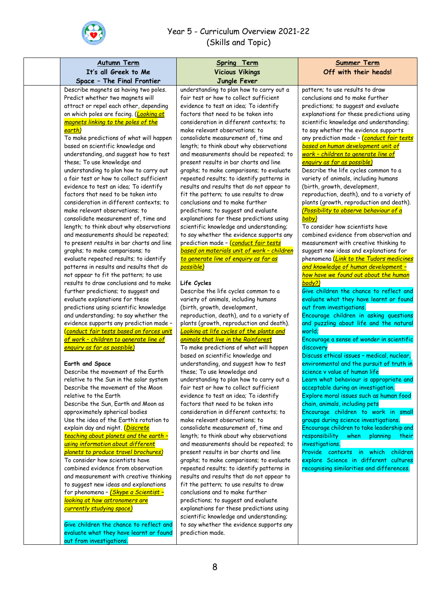

| <b>Autumn Term</b>                                                                                                                                                                                                                                                                                                                                                                                                                                                                                                                                                                                                                                                                                                                                                                                                                                                                                                                                                                                                                                                                                                                                                                                                                                                                                                                                                                                                                                                                                                                                                                                                                                                                                                                                                         | <b>Spring Term</b>                                                                                                                                                                                                                                                                                                                                                                                                                                                                                                                                                                                                                                                                                                                                                                                                                                                                                                                                                                                                                                                                                                                                                                                                                                                                                                                                                                                                                                                                                                                                                                                                                                                                                                                                                                                                   | <b>Summer Term</b>                                                                                                                                                                                                                                                                                                                                                                                                                                                                                                                                                                                                                                                                                                                                                                                                                                                                                                                                                                                                                                                                                                                                                                                                                                                                                                                                                                                                                                                                                                                                                                                                                                                                                                                       |
|----------------------------------------------------------------------------------------------------------------------------------------------------------------------------------------------------------------------------------------------------------------------------------------------------------------------------------------------------------------------------------------------------------------------------------------------------------------------------------------------------------------------------------------------------------------------------------------------------------------------------------------------------------------------------------------------------------------------------------------------------------------------------------------------------------------------------------------------------------------------------------------------------------------------------------------------------------------------------------------------------------------------------------------------------------------------------------------------------------------------------------------------------------------------------------------------------------------------------------------------------------------------------------------------------------------------------------------------------------------------------------------------------------------------------------------------------------------------------------------------------------------------------------------------------------------------------------------------------------------------------------------------------------------------------------------------------------------------------------------------------------------------------|----------------------------------------------------------------------------------------------------------------------------------------------------------------------------------------------------------------------------------------------------------------------------------------------------------------------------------------------------------------------------------------------------------------------------------------------------------------------------------------------------------------------------------------------------------------------------------------------------------------------------------------------------------------------------------------------------------------------------------------------------------------------------------------------------------------------------------------------------------------------------------------------------------------------------------------------------------------------------------------------------------------------------------------------------------------------------------------------------------------------------------------------------------------------------------------------------------------------------------------------------------------------------------------------------------------------------------------------------------------------------------------------------------------------------------------------------------------------------------------------------------------------------------------------------------------------------------------------------------------------------------------------------------------------------------------------------------------------------------------------------------------------------------------------------------------------|------------------------------------------------------------------------------------------------------------------------------------------------------------------------------------------------------------------------------------------------------------------------------------------------------------------------------------------------------------------------------------------------------------------------------------------------------------------------------------------------------------------------------------------------------------------------------------------------------------------------------------------------------------------------------------------------------------------------------------------------------------------------------------------------------------------------------------------------------------------------------------------------------------------------------------------------------------------------------------------------------------------------------------------------------------------------------------------------------------------------------------------------------------------------------------------------------------------------------------------------------------------------------------------------------------------------------------------------------------------------------------------------------------------------------------------------------------------------------------------------------------------------------------------------------------------------------------------------------------------------------------------------------------------------------------------------------------------------------------------|
|                                                                                                                                                                                                                                                                                                                                                                                                                                                                                                                                                                                                                                                                                                                                                                                                                                                                                                                                                                                                                                                                                                                                                                                                                                                                                                                                                                                                                                                                                                                                                                                                                                                                                                                                                                            |                                                                                                                                                                                                                                                                                                                                                                                                                                                                                                                                                                                                                                                                                                                                                                                                                                                                                                                                                                                                                                                                                                                                                                                                                                                                                                                                                                                                                                                                                                                                                                                                                                                                                                                                                                                                                      |                                                                                                                                                                                                                                                                                                                                                                                                                                                                                                                                                                                                                                                                                                                                                                                                                                                                                                                                                                                                                                                                                                                                                                                                                                                                                                                                                                                                                                                                                                                                                                                                                                                                                                                                          |
|                                                                                                                                                                                                                                                                                                                                                                                                                                                                                                                                                                                                                                                                                                                                                                                                                                                                                                                                                                                                                                                                                                                                                                                                                                                                                                                                                                                                                                                                                                                                                                                                                                                                                                                                                                            |                                                                                                                                                                                                                                                                                                                                                                                                                                                                                                                                                                                                                                                                                                                                                                                                                                                                                                                                                                                                                                                                                                                                                                                                                                                                                                                                                                                                                                                                                                                                                                                                                                                                                                                                                                                                                      |                                                                                                                                                                                                                                                                                                                                                                                                                                                                                                                                                                                                                                                                                                                                                                                                                                                                                                                                                                                                                                                                                                                                                                                                                                                                                                                                                                                                                                                                                                                                                                                                                                                                                                                                          |
| It's all Greek to Me<br>Space - The Final Frontier<br>Describe magnets as having two poles.<br>Predict whether two magnets will<br>attract or repel each other, depending<br>on which poles are facing. (Looking at<br>magnets linking to the poles of the<br>earth)<br>To make predictions of what will happen<br>based on scientific knowledge and<br>understanding, and suggest how to test<br>these; To use knowledge and<br>understanding to plan how to carry out<br>a fair test or how to collect sufficient<br>evidence to test an idea; To identify<br>factors that need to be taken into<br>consideration in different contexts; to<br>make relevant observations; to<br>consolidate measurement of, time and<br>length; to think about why observations<br>and measurements should be repeated;<br>to present results in bar charts and line<br>graphs; to make comparisons; to<br>evaluate repeated results; to identify<br>patterns in results and results that do<br>not appear to fit the pattern; to use<br>results to draw conclusions and to make<br>further predictions; to suggest and<br>evaluate explanations for these<br>predictions using scientific knowledge<br>and understanding; to say whether the<br>evidence supports any prediction made -<br>Conduct fair tests based on forces unit<br>of work - children to generate line of<br><u>enquiry as far as possible)</u><br>Earth and Space<br>Describe the movement of the Earth<br>relative to the Sun in the solar system<br>Describe the movement of the Moon<br>relative to the Earth<br>Describe the Sun, Earth and Moon as<br>approximately spherical bodies<br>Use the idea of the Earth's rotation to<br>explain day and night. (Discrete<br>teaching about planets and the earth - | <b>Vicious Vikings</b><br>Jungle Fever<br>understanding to plan how to carry out a<br>fair test or how to collect sufficient<br>evidence to test an idea; To identify<br>factors that need to be taken into<br>consideration in different contexts; to<br>make relevant observations; to<br>consolidate measurement of, time and<br>length; to think about why observations<br>and measurements should be repeated; to<br>present results in bar charts and line<br>graphs; to make comparisons; to evaluate<br>repeated results; to identify patterns in<br>results and results that do not appear to<br>fit the pattern; to use results to draw<br>conclusions and to make further<br>predictions; to suggest and evaluate<br>explanations for these predictions using<br>scientific knowledge and understanding;<br>to say whether the evidence supports any<br>prediction made - Conduct fair tests<br>based on materials unit of work - children<br>to generate line of enguiry as far as<br>possible)<br>Life Cycles<br>Describe the life cycles common to a<br>variety of animals, including humans<br>(birth, growth, development,<br>reproduction, death), and to a variety of<br>plants (growth, reproduction and death).<br>Looking at life cycles of the plants and<br>animals that live in the Rainforest<br>To make predictions of what will happen<br>based on scientific knowledge and<br>understanding, and suggest how to test<br>these; To use knowledge and<br>understanding to plan how to carry out a<br>fair test or how to collect sufficient<br>evidence to test an idea; To identify<br>factors that need to be taken into<br>consideration in different contexts; to<br>make relevant observations; to<br>consolidate measurement of, time and<br>length; to think about why observations | Off with their heads!<br>pattern; to use results to draw<br>conclusions and to make further<br>predictions; to suggest and evaluate<br>explanations for these predictions using<br>scientific knowledge and understanding;<br>to say whether the evidence supports<br>any prediction made - Conduct fair tests<br>based on human development unit of<br>work - children to generate line of<br>enquiry as far as possible)<br>Describe the life cycles common to a<br>variety of animals, including humans<br>(birth, growth, development,<br>reproduction, death), and to a variety of<br>plants (growth, reproduction and death).<br>(Possibility to observe behaviour of a<br>baby)<br>To consider how scientists have<br>combined evidence from observation and<br>measurement with creative thinking to<br>suggest new ideas and explanations for<br>phenomena (Link to the Tudors medicines<br>and knowledge of human development -<br>how have we found out about the human<br>body?)<br>Give children the chance to reflect and<br>evaluate what they have learnt or found<br>out from investigations.<br>Encourage children in asking questions<br>and puzzling about life and the natural<br>world;<br>Encourage a sense of wonder in scientific<br>discovery<br>Discuss ethical issues - medical, nuclear,<br>environmental and the pursuit of truth in<br>science v value of human life<br>Learn what behaviour is appropriate and<br>acceptable during an investigation.<br>Explore moral issues such as human food<br>chain, animals, including pets<br>Encourage children to work in small<br>groups during science investigations.<br>Encourage children to take leadership and<br>responsibility when planning<br>their |
| using information about different<br>planets to produce travel brochures)<br>To consider how scientists have                                                                                                                                                                                                                                                                                                                                                                                                                                                                                                                                                                                                                                                                                                                                                                                                                                                                                                                                                                                                                                                                                                                                                                                                                                                                                                                                                                                                                                                                                                                                                                                                                                                               | and measurements should be repeated; to<br>present results in bar charts and line<br>graphs; to make comparisons; to evaluate                                                                                                                                                                                                                                                                                                                                                                                                                                                                                                                                                                                                                                                                                                                                                                                                                                                                                                                                                                                                                                                                                                                                                                                                                                                                                                                                                                                                                                                                                                                                                                                                                                                                                        | investigations.<br>Provide contexts in which children<br>explore Science in different cultures                                                                                                                                                                                                                                                                                                                                                                                                                                                                                                                                                                                                                                                                                                                                                                                                                                                                                                                                                                                                                                                                                                                                                                                                                                                                                                                                                                                                                                                                                                                                                                                                                                           |
| combined evidence from observation<br>and measurement with creative thinking<br>to suggest new ideas and explanations<br>for phenomena - <i>(Skype a Scientist -</i><br>looking at how astronomers are<br>currently studying space)<br>Give children the chance to reflect and<br>evaluate what they have learnt or found<br>out from investigations.                                                                                                                                                                                                                                                                                                                                                                                                                                                                                                                                                                                                                                                                                                                                                                                                                                                                                                                                                                                                                                                                                                                                                                                                                                                                                                                                                                                                                      | repeated results; to identify patterns in<br>results and results that do not appear to<br>fit the pattern; to use results to draw<br>conclusions and to make further<br>predictions; to suggest and evaluate<br>explanations for these predictions using<br>scientific knowledge and understanding;<br>to say whether the evidence supports any<br>prediction made.                                                                                                                                                                                                                                                                                                                                                                                                                                                                                                                                                                                                                                                                                                                                                                                                                                                                                                                                                                                                                                                                                                                                                                                                                                                                                                                                                                                                                                                  | recognising similarities and differences.                                                                                                                                                                                                                                                                                                                                                                                                                                                                                                                                                                                                                                                                                                                                                                                                                                                                                                                                                                                                                                                                                                                                                                                                                                                                                                                                                                                                                                                                                                                                                                                                                                                                                                |
|                                                                                                                                                                                                                                                                                                                                                                                                                                                                                                                                                                                                                                                                                                                                                                                                                                                                                                                                                                                                                                                                                                                                                                                                                                                                                                                                                                                                                                                                                                                                                                                                                                                                                                                                                                            |                                                                                                                                                                                                                                                                                                                                                                                                                                                                                                                                                                                                                                                                                                                                                                                                                                                                                                                                                                                                                                                                                                                                                                                                                                                                                                                                                                                                                                                                                                                                                                                                                                                                                                                                                                                                                      |                                                                                                                                                                                                                                                                                                                                                                                                                                                                                                                                                                                                                                                                                                                                                                                                                                                                                                                                                                                                                                                                                                                                                                                                                                                                                                                                                                                                                                                                                                                                                                                                                                                                                                                                          |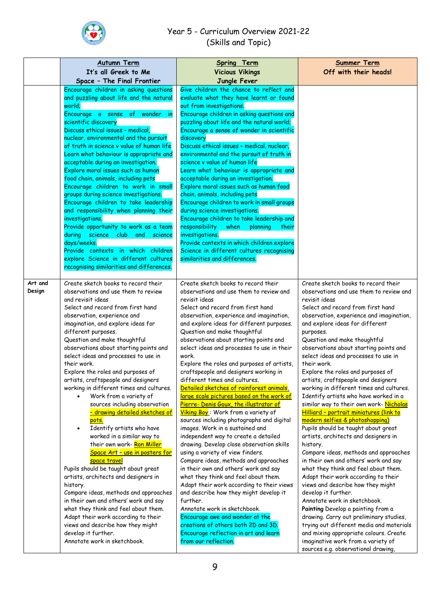

|                   | <b>Autumn Term</b><br>It's all Greek to Me                                                                                                                                                                                                                                                                                                                                                                                                                                                                                                                                                                                                                                                                                                                                                                                                                                                                                                                                                                                                                                                                             | <b>Spring Term</b><br><b>Vicious Vikings</b>                                                                                                                                                                                                                                                                                                                                                                                                                                                                                                                                                                                                                                                                                                                                                                                                                                                                                                                                                                                                                                                                                                                                                                                                                                     | <b>Summer Term</b><br>Off with their heads!                                                                                                                                                                                                                                                                                                                                                                                                                                                                                                                                                                                                                                                                                                                                                                                                                                                                                                                                                                                                                                                                                                                                                                                                                             |
|-------------------|------------------------------------------------------------------------------------------------------------------------------------------------------------------------------------------------------------------------------------------------------------------------------------------------------------------------------------------------------------------------------------------------------------------------------------------------------------------------------------------------------------------------------------------------------------------------------------------------------------------------------------------------------------------------------------------------------------------------------------------------------------------------------------------------------------------------------------------------------------------------------------------------------------------------------------------------------------------------------------------------------------------------------------------------------------------------------------------------------------------------|----------------------------------------------------------------------------------------------------------------------------------------------------------------------------------------------------------------------------------------------------------------------------------------------------------------------------------------------------------------------------------------------------------------------------------------------------------------------------------------------------------------------------------------------------------------------------------------------------------------------------------------------------------------------------------------------------------------------------------------------------------------------------------------------------------------------------------------------------------------------------------------------------------------------------------------------------------------------------------------------------------------------------------------------------------------------------------------------------------------------------------------------------------------------------------------------------------------------------------------------------------------------------------|-------------------------------------------------------------------------------------------------------------------------------------------------------------------------------------------------------------------------------------------------------------------------------------------------------------------------------------------------------------------------------------------------------------------------------------------------------------------------------------------------------------------------------------------------------------------------------------------------------------------------------------------------------------------------------------------------------------------------------------------------------------------------------------------------------------------------------------------------------------------------------------------------------------------------------------------------------------------------------------------------------------------------------------------------------------------------------------------------------------------------------------------------------------------------------------------------------------------------------------------------------------------------|
|                   | Space - The Final Frontier                                                                                                                                                                                                                                                                                                                                                                                                                                                                                                                                                                                                                                                                                                                                                                                                                                                                                                                                                                                                                                                                                             | Jungle Fever                                                                                                                                                                                                                                                                                                                                                                                                                                                                                                                                                                                                                                                                                                                                                                                                                                                                                                                                                                                                                                                                                                                                                                                                                                                                     |                                                                                                                                                                                                                                                                                                                                                                                                                                                                                                                                                                                                                                                                                                                                                                                                                                                                                                                                                                                                                                                                                                                                                                                                                                                                         |
|                   | Encourage children in asking questions<br>and puzzling about life and the natural<br>world;<br>Encourage a sense of wonder in<br>scientific discovery<br>Discuss ethical issues - medical,<br>nuclear, environmental and the pursuit<br>of truth in science v value of human life<br>Learn what behaviour is appropriate and<br>acceptable during an investigation.<br>Explore moral issues such as human<br>food chain, animals, including pets<br>Encourage children to work in small<br>groups during science investigations.<br>Encourage children to take leadership<br>and responsibility when planning their<br>investigations.<br>Provide opportunity to work as a team<br>during science club and science<br>days/weeks.<br>Provide contexts in which children<br>explore Science in different cultures<br>recognising similarities and differences.                                                                                                                                                                                                                                                          | Give children the chance to reflect and<br>evaluate what they have learnt or found<br>out from investigations.<br>Encourage children in asking questions and<br>puzzling about life and the natural world;<br>Encourage a sense of wonder in scientific<br>discovery<br>Discuss ethical issues - medical, nuclear,<br>environmental and the pursuit of truth in<br>science v value of human life<br>Learn what behaviour is appropriate and<br>acceptable during an investigation.<br>Explore moral issues such as human food<br>chain, animals, including pets<br>Encourage children to work in small groups<br>during science investigations.<br>Encourage children to take leadership and<br>responsibility<br>when planning<br>their<br>investigations.<br>Provide contexts in which children explore<br>Science in different cultures recognising<br>similarities and differences.                                                                                                                                                                                                                                                                                                                                                                                          |                                                                                                                                                                                                                                                                                                                                                                                                                                                                                                                                                                                                                                                                                                                                                                                                                                                                                                                                                                                                                                                                                                                                                                                                                                                                         |
| Art and<br>Design | Create sketch books to record their<br>observations and use them to review<br>and revisit ideas<br>Select and record from first hand<br>observation, experience and<br>imagination, and explore ideas for<br>different purposes.<br>Question and make thoughtful<br>observations about starting points and<br>select ideas and processes to use in<br>their work.<br>Explore the roles and purposes of<br>artists, craftspeople and designers<br>working in different times and cultures.<br>Work from a variety of<br>sources including observation<br><u>- drawing detailed sketches of</u><br>pots.<br>Identify artists who have<br>$\bullet$<br>worked in a similar way to<br>their own work- Ron Miller<br>Space Art - use in posters for<br>space travel<br>Pupils should be taught about great<br>artists, architects and designers in<br>history.<br>Compare ideas, methods and approaches<br>in their own and others' work and say<br>what they think and feel about them.<br>Adapt their work according to their<br>views and describe how they might<br>develop it further.<br>Annotate work in sketchbook. | Create sketch books to record their<br>observations and use them to review and<br>revisit ideas<br>Select and record from first hand<br>observation, experience and imagination,<br>and explore ideas for different purposes.<br>Question and make thoughtful<br>observations about starting points and<br>select ideas and processes to use in their<br>work.<br>Explore the roles and purposes of artists,<br>craftspeople and designers working in<br>different times and cultures.<br>Detailed sketches of rainforest animals,<br>large scale pictures based on the work of<br>Pierre- Denis Goux, the illustrator of<br>Viking Boy: Work from a variety of<br>sources including photographs and digital<br>images. Work in a sustained and<br>independent way to create a detailed<br>drawing. Develop close observation skills<br>using a variety of view finders.<br>Compare ideas, methods and approaches<br>in their own and others' work and say<br>what they think and feel about them.<br>Adapt their work according to their views<br>and describe how they might develop it<br>further.<br>Annotate work in sketchbook.<br>Encourage awe and wonder at the<br>creations of others both 2D and 3D.<br>Encourage reflection in art and learn<br>from our reflection. | Create sketch books to record their<br>observations and use them to review and<br>revisit ideas<br>Select and record from first hand<br>observation, experience and imagination,<br>and explore ideas for different<br>purposes.<br>Question and make thoughtful<br>observations about starting points and<br>select ideas and processes to use in<br>their work.<br>Explore the roles and purposes of<br>artists, craftspeople and designers<br>working in different times and cultures.<br>Identify artists who have worked in a<br>similar way to their own work- Nicholas<br>Hilliard - portrait miniatures (link to<br>modern selfies & photoshopping)<br>Pupils should be taught about great<br>artists, architects and designers in<br>history.<br>Compare ideas, methods and approaches<br>in their own and others' work and say<br>what they think and feel about them.<br>Adapt their work according to their<br>views and describe how they might<br>develop it further.<br>Annotate work in sketchbook.<br>Painting Develop a painting from a<br>drawing. Carry out preliminary studies,<br>trying out different media and materials<br>and mixing appropriate colours. Create<br>imaginative work from a variety of<br>sources e.g. observational drawing, |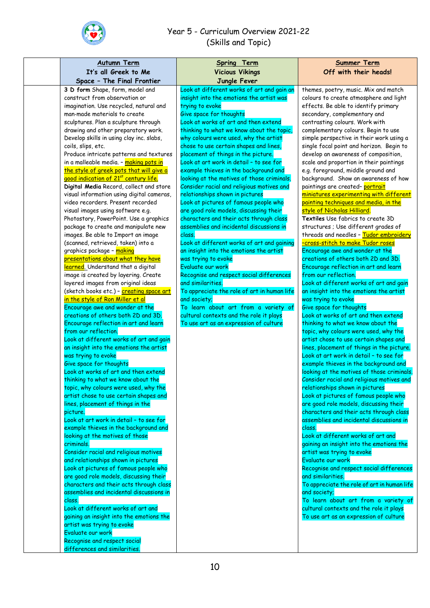

| coils, slips, etc.               | It's all Greek to Me<br>Space - The Final Frontier<br>3 D form Shape, form, model and<br>construct from observation or<br>imagination. Use recycled, natural and<br>man-made materials to create<br>sculptures. Plan a sculpture through                                                                                                                                                                                                                                                                                                                                                                                                                                                                                                                                                                                                                                                                                                                                                                                                                                                                                                                                                                                                                                                                                                                                                                                                                                                                                                                                                                                                                                                                                                                             | <b>Vicious Vikings</b><br>Jungle Fever<br>Look at different works of art and gain an<br>insight into the emotions the artist was<br>trying to evoke<br>Give space for thoughts<br>Look at works of art and then extend                                                                                                                                                                                                                                                                                                                                                                                                                                                                                                                                                                                                                                                                                                                                                      | Off with their heads!<br>themes, poetry, music. Mix and match<br>colours to create atmosphere and light<br>effects. Be able to identify primary<br>secondary, complementary and                                                                                                                                                                                                                                                                                                                                                                                                                                                                                                                                                                                                                                                                                                                                                                                                                                                                                                                                                                                                                                                                                                                                                                                                                                                                                                                                                                                                                                                                                                                                                                                                                                                                                              |
|----------------------------------|----------------------------------------------------------------------------------------------------------------------------------------------------------------------------------------------------------------------------------------------------------------------------------------------------------------------------------------------------------------------------------------------------------------------------------------------------------------------------------------------------------------------------------------------------------------------------------------------------------------------------------------------------------------------------------------------------------------------------------------------------------------------------------------------------------------------------------------------------------------------------------------------------------------------------------------------------------------------------------------------------------------------------------------------------------------------------------------------------------------------------------------------------------------------------------------------------------------------------------------------------------------------------------------------------------------------------------------------------------------------------------------------------------------------------------------------------------------------------------------------------------------------------------------------------------------------------------------------------------------------------------------------------------------------------------------------------------------------------------------------------------------------|-----------------------------------------------------------------------------------------------------------------------------------------------------------------------------------------------------------------------------------------------------------------------------------------------------------------------------------------------------------------------------------------------------------------------------------------------------------------------------------------------------------------------------------------------------------------------------------------------------------------------------------------------------------------------------------------------------------------------------------------------------------------------------------------------------------------------------------------------------------------------------------------------------------------------------------------------------------------------------|------------------------------------------------------------------------------------------------------------------------------------------------------------------------------------------------------------------------------------------------------------------------------------------------------------------------------------------------------------------------------------------------------------------------------------------------------------------------------------------------------------------------------------------------------------------------------------------------------------------------------------------------------------------------------------------------------------------------------------------------------------------------------------------------------------------------------------------------------------------------------------------------------------------------------------------------------------------------------------------------------------------------------------------------------------------------------------------------------------------------------------------------------------------------------------------------------------------------------------------------------------------------------------------------------------------------------------------------------------------------------------------------------------------------------------------------------------------------------------------------------------------------------------------------------------------------------------------------------------------------------------------------------------------------------------------------------------------------------------------------------------------------------------------------------------------------------------------------------------------------------|
|                                  |                                                                                                                                                                                                                                                                                                                                                                                                                                                                                                                                                                                                                                                                                                                                                                                                                                                                                                                                                                                                                                                                                                                                                                                                                                                                                                                                                                                                                                                                                                                                                                                                                                                                                                                                                                      |                                                                                                                                                                                                                                                                                                                                                                                                                                                                                                                                                                                                                                                                                                                                                                                                                                                                                                                                                                             |                                                                                                                                                                                                                                                                                                                                                                                                                                                                                                                                                                                                                                                                                                                                                                                                                                                                                                                                                                                                                                                                                                                                                                                                                                                                                                                                                                                                                                                                                                                                                                                                                                                                                                                                                                                                                                                                              |
|                                  |                                                                                                                                                                                                                                                                                                                                                                                                                                                                                                                                                                                                                                                                                                                                                                                                                                                                                                                                                                                                                                                                                                                                                                                                                                                                                                                                                                                                                                                                                                                                                                                                                                                                                                                                                                      |                                                                                                                                                                                                                                                                                                                                                                                                                                                                                                                                                                                                                                                                                                                                                                                                                                                                                                                                                                             |                                                                                                                                                                                                                                                                                                                                                                                                                                                                                                                                                                                                                                                                                                                                                                                                                                                                                                                                                                                                                                                                                                                                                                                                                                                                                                                                                                                                                                                                                                                                                                                                                                                                                                                                                                                                                                                                              |
| picture.<br>criminals.<br>class. | drawing and other preparatory work.<br>Develop skills in using clay inc. slabs,<br>Produce intricate patterns and textures<br>in a malleable media. - making pots in<br>the style of greek pots that will give a<br>good indication of 21st century life.<br>Digital Media Record, collect and store<br>visual information using digital cameras,<br>video recorders. Present recorded<br>visual images using software e.g.<br>Photostory, PowerPoint. Use a graphics<br>package to create and manipulate new<br>images. Be able to Import an image<br>(scanned, retrieved, taken) into a<br>graphics package - <mark>making</mark><br>presentations about what they have<br>learned. Understand that a digital<br>image is created by layering. Create<br>layered images from original ideas<br>(sketch books etc.) - <mark>creating space art</mark><br>in the style of Ron Miller et al<br>Encourage awe and wonder at the<br>creations of others both 2D and 3D.<br>Encourage reflection in art and learn<br>from our reflection.<br>Look at different works of art and gain<br>an insight into the emotions the artist<br>was trying to evoke<br>Give space for thoughts<br>Look at works of art and then extend<br>thinking to what we know about the<br>topic, why colours were used, why the<br>artist chose to use certain shapes and<br>lines, placement of things in the<br>Look at art work in detail - to see for<br>example thieves in the background and<br>looking at the motives of those<br>Consider racial and religious motives<br>and relationships shown in pictures<br>Look at pictures of famous people who<br>are good role models, discussing their<br>characters and their acts through class<br>assemblies and incidental discussions in | thinking to what we know about the topic,<br>why colours were used, why the artist<br>chose to use certain shapes and lines,<br>placement of things in the picture.<br>Look at art work in detail - to see for<br>example thieves in the background and<br>looking at the motives of those criminals.<br>Consider racial and religious motives and<br>relationships shown in pictures<br>Look at pictures of famous people who<br>are good role models, discussing their<br>characters and their acts through class<br>assemblies and incidental discussions in<br>class.<br>Look at different works of art and gaining<br>an insight into the emotions the artist<br>was trying to evoke<br>Evaluate our work<br>Recognise and respect social differences<br>and similarities.<br>To appreciate the role of art in human life<br>and society;<br>To learn about art from a variety of<br>cultural contexts and the role it plays<br>To use art as an expression of culture | contrasting colours. Work with<br>complementary colours. Begin to use<br>simple perspective in their work using a<br>single focal point and horizon. Begin to<br>develop an awareness of composition,<br>scale and proportion in their paintings<br>e.g. foreground, middle ground and<br>background. Show an awareness of how<br>paintings are created- portrait<br>miniatures experimenting with different<br>painting techniques and media, in the<br>style of Nicholas Hilliard.<br>Textiles Use fabrics to create 3D<br>structures ; Use different grades of<br>threads and needles - Tudor embroidery<br><u>-cross-stitch to make Tudor roses</u><br>Encourage awe and wonder at the<br>creations of others both 2D and 3D.<br>Encourage reflection in art and learn<br>from our reflection.<br>Look at different works of art and gain<br>an insight into the emotions the artist<br>was trying to evoke<br>Give space for thoughts<br>Look at works of art and then extend<br>thinking to what we know about the<br>topic, why colours were used, why the<br>artist chose to use certain shapes and<br>lines, placement of things in the picture.<br>Look at art work in detail - to see for<br>example thieves in the background and<br>looking at the motives of those criminals.<br>Consider racial and religious motives and<br>relationships shown in pictures<br>Look at pictures of famous people who<br>are good role models, discussing their<br>characters and their acts through class<br>assemblies and incidental discussions in<br>class.<br>Look at different works of art and<br>gaining an insight into the emotions the<br>artist was trying to evoke<br>Evaluate our work<br>Recognise and respect social differences<br>and similarities.<br>To appreciate the role of art in human life<br>and society;<br>To learn about art from a variety of |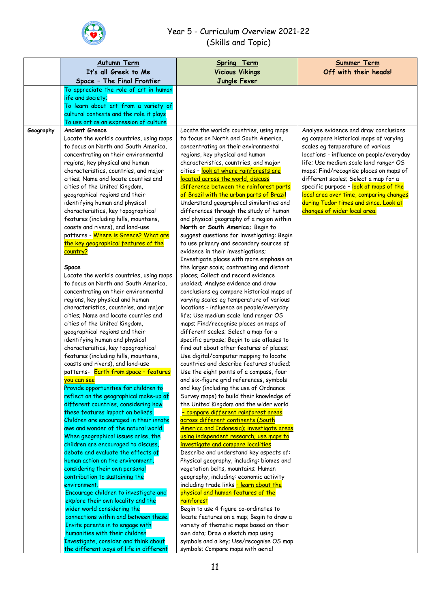

|           | <b>Autumn Term</b>                                                            | Spring Term                                                                          | <b>Summer Term</b>                                                             |
|-----------|-------------------------------------------------------------------------------|--------------------------------------------------------------------------------------|--------------------------------------------------------------------------------|
|           | It's all Greek to Me                                                          | <b>Vicious Vikings</b>                                                               | Off with their heads!                                                          |
|           | Space - The Final Frontier                                                    | Jungle Fever                                                                         |                                                                                |
|           | To appreciate the role of art in human                                        |                                                                                      |                                                                                |
|           | life and society;                                                             |                                                                                      |                                                                                |
|           | To learn about art from a variety of                                          |                                                                                      |                                                                                |
|           | cultural contexts and the role it plays                                       |                                                                                      |                                                                                |
|           | To use art as an expression of culture                                        |                                                                                      |                                                                                |
| Geography | <b>Ancient Greece</b>                                                         | Locate the world's countries, using maps                                             | Analyse evidence and draw conclusions                                          |
|           | Locate the world's countries, using maps                                      | to focus on North and South America,                                                 | eg compare historical maps of varying                                          |
|           | to focus on North and South America,                                          | concentrating on their environmental                                                 | scales eg temperature of various                                               |
|           | concentrating on their environmental                                          | regions, key physical and human                                                      | locations - influence on people/everyday                                       |
|           | regions, key physical and human                                               | characteristics, countries, and major                                                | life; Use medium scale land ranger OS                                          |
|           | characteristics, countries, and major<br>cities; Name and locate counties and | cities - look at where rainforests are<br>located across the world, discuss          | maps; Find/recognise places on maps of<br>different scales; Select a map for a |
|           | cities of the United Kingdom,                                                 | difference between the rainforest parts                                              | specific purpose - look at maps of the                                         |
|           | geographical regions and their                                                | of Brazil with the urban parts of Brazil                                             | local area over time, comparing changes                                        |
|           | identifying human and physical                                                | Understand geographical similarities and                                             | during Tudor times and since. Look at                                          |
|           | characteristics, key topographical                                            | differences through the study of human                                               | changes of wider local area.                                                   |
|           | features (including hills, mountains,                                         | and physical geography of a region within                                            |                                                                                |
|           | coasts and rivers), and land-use                                              | North or South America; Begin to                                                     |                                                                                |
|           | patterns - Where is Greece? What are                                          | suggest questions for investigating; Begin                                           |                                                                                |
|           | the key geographical features of the                                          | to use primary and secondary sources of                                              |                                                                                |
|           | country?                                                                      | evidence in their investigations;                                                    |                                                                                |
|           |                                                                               | Investigate places with more emphasis on                                             |                                                                                |
|           | Space                                                                         | the larger scale; contrasting and distant                                            |                                                                                |
|           | Locate the world's countries, using maps                                      | places; Collect and record evidence                                                  |                                                                                |
|           | to focus on North and South America,                                          | unaided; Analyse evidence and draw                                                   |                                                                                |
|           | concentrating on their environmental                                          | conclusions eg compare historical maps of                                            |                                                                                |
|           | regions, key physical and human<br>characteristics, countries, and major      | varying scales eg temperature of various<br>locations - influence on people/everyday |                                                                                |
|           | cities; Name and locate counties and                                          | life; Use medium scale land ranger OS                                                |                                                                                |
|           | cities of the United Kingdom,                                                 | maps; Find/recognise places on maps of                                               |                                                                                |
|           | geographical regions and their                                                | different scales; Select a map for a                                                 |                                                                                |
|           | identifying human and physical                                                | specific purpose; Begin to use atlases to                                            |                                                                                |
|           | characteristics, key topographical                                            | find out about other features of places;                                             |                                                                                |
|           | features (including hills, mountains,                                         | Use digital/computer mapping to locate                                               |                                                                                |
|           | coasts and rivers), and land-use                                              | countries and describe features studied;                                             |                                                                                |
|           | patterns- <b>Earth from space - features</b>                                  | Use the eight points of a compass, four                                              |                                                                                |
|           | you can see                                                                   | and six-figure grid references, symbols                                              |                                                                                |
|           | Provide opportunities for children to                                         | and key (including the use of Ordnance                                               |                                                                                |
|           | reflect on the geographical make-up of                                        | Survey maps) to build their knowledge of                                             |                                                                                |
|           | different countries, considering how<br>these features impact on beliefs.     | the United Kingdom and the wider world<br>- compare different rainforest areas       |                                                                                |
|           | Children are encouraged in their innate                                       | across different continents (South                                                   |                                                                                |
|           | awe and wonder of the natural world.                                          | America and Indonesia); investigate areas                                            |                                                                                |
|           | When geographical issues arise, the                                           | using independent research; use maps to                                              |                                                                                |
|           | children are encouraged to discuss,                                           | investigate and compare localities                                                   |                                                                                |
|           | debate and evaluate the effects of                                            | Describe and understand key aspects of:                                              |                                                                                |
|           | human action on the environment,                                              | Physical geography, including: biomes and                                            |                                                                                |
|           | considering their own personal                                                | vegetation belts, mountains; Human                                                   |                                                                                |
|           | contribution to sustaining the                                                | geography, including: economic activity                                              |                                                                                |
|           | environment.                                                                  | including trade links - learn about the                                              |                                                                                |
|           | Encourage children to investigate and                                         | physical and human features of the                                                   |                                                                                |
|           | explore their own locality and the                                            | rainforest                                                                           |                                                                                |
|           | wider world considering the                                                   | Begin to use 4 figure co-ordinates to                                                |                                                                                |
|           | connections within and between these.                                         | locate features on a map; Begin to draw a                                            |                                                                                |
|           | Invite parents in to engage with<br>humanities with their children            | variety of thematic maps based on their<br>own data; Draw a sketch map using         |                                                                                |
|           | Investigate, consider and think about                                         | symbols and a key; Use/recognise OS map                                              |                                                                                |
|           | the different ways of life in different                                       | symbols; Compare maps with aerial                                                    |                                                                                |
|           |                                                                               |                                                                                      |                                                                                |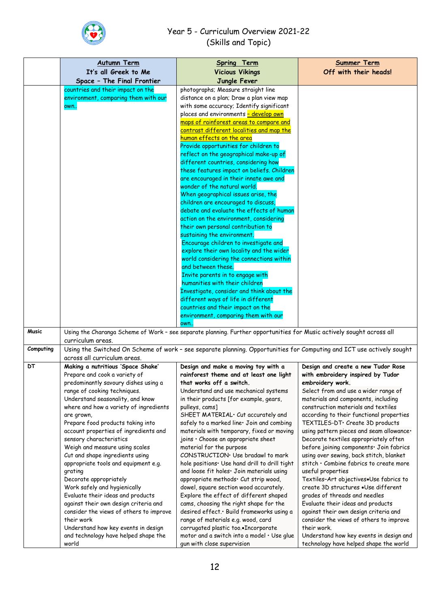

|              | <b>Autumn Term</b>                                                                                                    | Spring Term                                                                                                                  | <b>Summer Term</b>                                                               |
|--------------|-----------------------------------------------------------------------------------------------------------------------|------------------------------------------------------------------------------------------------------------------------------|----------------------------------------------------------------------------------|
|              | It's all Greek to Me                                                                                                  | <b>Vicious Vikings</b>                                                                                                       | Off with their heads!                                                            |
|              | Space - The Final Frontier                                                                                            | Jungle Fever                                                                                                                 |                                                                                  |
|              | countries and their impact on the                                                                                     | photographs; Measure straight line                                                                                           |                                                                                  |
|              | environment, comparing them with our                                                                                  | distance on a plan; Draw a plan view map                                                                                     |                                                                                  |
|              | own                                                                                                                   | with some accuracy; Identify significant                                                                                     |                                                                                  |
|              |                                                                                                                       | places and environments - develop own                                                                                        |                                                                                  |
|              |                                                                                                                       | maps of rainforest areas to compare and                                                                                      |                                                                                  |
|              |                                                                                                                       | contrast different localities and map the                                                                                    |                                                                                  |
|              |                                                                                                                       | human effects on the area<br>Provide opportunities for children to                                                           |                                                                                  |
|              |                                                                                                                       | reflect on the geographical make-up of                                                                                       |                                                                                  |
|              |                                                                                                                       | different countries, considering how                                                                                         |                                                                                  |
|              |                                                                                                                       | these features impact on beliefs. Children                                                                                   |                                                                                  |
|              |                                                                                                                       | are encouraged in their innate awe and                                                                                       |                                                                                  |
|              |                                                                                                                       | wonder of the natural world.                                                                                                 |                                                                                  |
|              |                                                                                                                       | When geographical issues arise, the                                                                                          |                                                                                  |
|              |                                                                                                                       | children are encouraged to discuss,                                                                                          |                                                                                  |
|              |                                                                                                                       | debate and evaluate the effects of human                                                                                     |                                                                                  |
|              |                                                                                                                       | action on the environment, considering                                                                                       |                                                                                  |
|              |                                                                                                                       | their own personal contribution to                                                                                           |                                                                                  |
|              |                                                                                                                       | sustaining the environment.<br>Encourage children to investigate and                                                         |                                                                                  |
|              |                                                                                                                       | explore their own locality and the wider                                                                                     |                                                                                  |
|              |                                                                                                                       | world considering the connections within                                                                                     |                                                                                  |
|              |                                                                                                                       | and between these.                                                                                                           |                                                                                  |
|              |                                                                                                                       | Invite parents in to engage with                                                                                             |                                                                                  |
|              |                                                                                                                       | humanities with their children                                                                                               |                                                                                  |
|              |                                                                                                                       | Investigate, consider and think about the                                                                                    |                                                                                  |
|              |                                                                                                                       | different ways of life in different                                                                                          |                                                                                  |
|              |                                                                                                                       | countries and their impact on the                                                                                            |                                                                                  |
|              |                                                                                                                       | environment, comparing them with our                                                                                         |                                                                                  |
| <b>Music</b> |                                                                                                                       | own<br>Using the Charanga Scheme of Work - see separate planning. Further opportunities for Music actively sought across all |                                                                                  |
|              | curriculum areas.                                                                                                     |                                                                                                                              |                                                                                  |
| Computing    | Using the Switched On Scheme of work - see separate planning. Opportunities for Computing and ICT use actively sought |                                                                                                                              |                                                                                  |
|              | across all curriculum areas.                                                                                          |                                                                                                                              |                                                                                  |
| DТ           | Making a nutritious 'Space Shake'                                                                                     | Design and make a moving toy with a                                                                                          | Design and create a new Tudor Rose                                               |
|              | Prepare and cook a variety of                                                                                         | rainforest theme and at least one light                                                                                      | with embroidery inspired by Tudor                                                |
|              | predominantly savoury dishes using a                                                                                  | that works off a switch.                                                                                                     | embroidery work.                                                                 |
|              | range of cooking techniques.                                                                                          | Understand and use mechanical systems                                                                                        | Select from and use a wider range of                                             |
|              | Understand seasonality, and know                                                                                      | in their products [for example, gears,                                                                                       | materials and components, including                                              |
|              | where and how a variety of ingredients                                                                                | pulleys, cams]                                                                                                               | construction materials and textiles                                              |
|              | are grown,<br>Prepare food products taking into                                                                       | SHEET MATERIAL · Cut accurately and<br>safely to a marked line. Join and combing                                             | according to their functional properties<br>TEXTILES-DT· Create 3D products      |
|              | account properties of ingredients and                                                                                 | materials with temporary, fixed or moving                                                                                    | using pattern pieces and seam allowance.                                         |
|              | sensory characteristics                                                                                               | joins · Choose an appropriate sheet                                                                                          | Decorate textiles appropriately often                                            |
|              | Weigh and measure using scales                                                                                        | material for the purpose                                                                                                     | before joining components · Join fabrics                                         |
|              | Cut and shape ingredients using                                                                                       | CONSTRUCTION · Use bradawl to mark                                                                                           | using over sewing, back stitch, blanket                                          |
|              | appropriate tools and equipment e.g.                                                                                  | hole positions. Use hand drill to drill tight                                                                                | stitch · Combine fabrics to create more                                          |
|              | grating                                                                                                               | and loose fit holes. Join materials using                                                                                    | useful properties                                                                |
|              | Decorate appropriately                                                                                                | appropriate methods· Cut strip wood,                                                                                         | Textiles-Art objectives.Use fabrics to                                           |
|              | Work safely and hygienically                                                                                          | dowel, square section wood accurately.                                                                                       | create 3D structures .Use different                                              |
|              | Evaluate their ideas and products                                                                                     | Explore the effect of different shaped                                                                                       | grades of threads and needles                                                    |
|              | against their own design criteria and                                                                                 | cams, choosing the right shape for the                                                                                       | Evaluate their ideas and products                                                |
|              | consider the views of others to improve<br>their work                                                                 | desired effect. Build frameworks using a<br>range of materials e.g. wood, card                                               | against their own design criteria and<br>consider the views of others to improve |
|              | Understand how key events in design                                                                                   | corrugated plastic tooIncorporate                                                                                            | their work.                                                                      |
|              | and technology have helped shape the                                                                                  | motor and a switch into a model . Use glue                                                                                   | Understand how key events in design and                                          |
|              | world                                                                                                                 | gun with close supervision                                                                                                   | technology have helped shape the world                                           |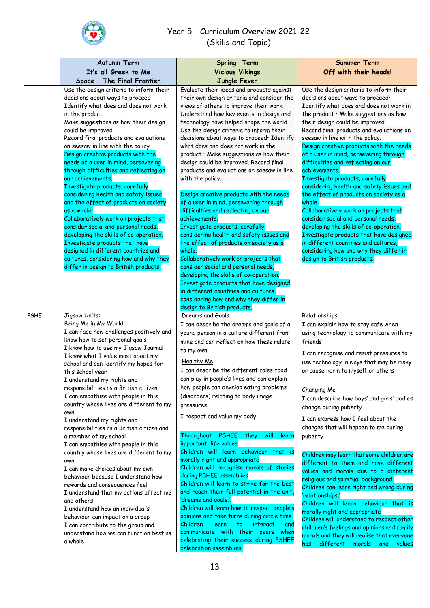

|             | <b>Autumn Term</b><br>It's all Greek to Me<br>Space - The Final Frontier                                                                                                                                                                                                                                                                                                                                                                                                                                                                                                                                                                                                                                                                                                                                                                                                                                                                                    | Spring Term<br><b>Vicious Vikings</b><br>Jungle Fever                                                                                                                                                                                                                                                                                                                                                                                                                                                                                                                                                                                                                                                                                                                                                                                                                                                                                                                                                                                                                           | <b>Summer Term</b><br>Off with their heads!                                                                                                                                                                                                                                                                                                                                                                                                                                                                                                                                                                                                                                                                                                                                                                                                                                                                                 |
|-------------|-------------------------------------------------------------------------------------------------------------------------------------------------------------------------------------------------------------------------------------------------------------------------------------------------------------------------------------------------------------------------------------------------------------------------------------------------------------------------------------------------------------------------------------------------------------------------------------------------------------------------------------------------------------------------------------------------------------------------------------------------------------------------------------------------------------------------------------------------------------------------------------------------------------------------------------------------------------|---------------------------------------------------------------------------------------------------------------------------------------------------------------------------------------------------------------------------------------------------------------------------------------------------------------------------------------------------------------------------------------------------------------------------------------------------------------------------------------------------------------------------------------------------------------------------------------------------------------------------------------------------------------------------------------------------------------------------------------------------------------------------------------------------------------------------------------------------------------------------------------------------------------------------------------------------------------------------------------------------------------------------------------------------------------------------------|-----------------------------------------------------------------------------------------------------------------------------------------------------------------------------------------------------------------------------------------------------------------------------------------------------------------------------------------------------------------------------------------------------------------------------------------------------------------------------------------------------------------------------------------------------------------------------------------------------------------------------------------------------------------------------------------------------------------------------------------------------------------------------------------------------------------------------------------------------------------------------------------------------------------------------|
|             | Use the design criteria to inform their<br>decisions about ways to proceed<br>Identify what does and does not work<br>in the product<br>Make suggestions as how their design<br>could be improved<br>Record final products and evaluations<br>on seesaw in line with the policy.<br>Design creative products with the<br>needs of a user in mind, persevering<br>through difficulties and reflecting on<br>our achievements.<br>Investigate products, carefully<br>considering health and safety issues<br>and the effect of products on society<br>as a whole.<br>Collaboratively work on projects that<br>consider social and personal needs,<br>developing the skills of co-operation.<br>Investigate products that have<br>designed in different countries and<br>cultures, considering how and why they<br>differ in design to British products.                                                                                                       | Evaluate their ideas and products against<br>their own design criteria and consider the<br>views of others to improve their work.<br>Understand how key events in design and<br>technology have helped shape the world<br>Use the design criteria to inform their<br>decisions about ways to proceed· Identify<br>what does and does not work in the<br>product. Make suggestions as how their<br>design could be improved. Record final<br>products and evaluations on seesaw in line<br>with the policy.<br>Design creative products with the needs<br>of a user in mind, persevering through<br>difficulties and reflecting on our<br>achievements.<br>Investigate products, carefully<br>considering health and safety issues and<br>the effect of products on society as a<br>whole.<br>Collaboratively work on projects that<br>consider social and personal needs,<br>developing the skills of co-operation.<br>Investigate products that have designed<br>in different countries and cultures,<br>considering how and why they differ in<br>design to British products. | Use the design criteria to inform their<br>decisions about ways to proceed·<br>Identify what does and does not work in<br>the product. Make suggestions as how<br>their design could be improved.<br>Record final products and evaluations on<br>seesaw in line with the policy.<br>Design creative products with the needs<br>of a user in mind, persevering through<br>difficulties and reflecting on our<br>achievements.<br>Investigate products, carefully<br>considering health and safety issues and<br>the effect of products on society as a<br>whole.<br>Collaboratively work on projects that<br>consider social and personal needs,<br>developing the skills of co-operation.<br>Investigate products that have designed<br>in different countries and cultures,<br>considering how and why they differ in<br>design to British products.                                                                       |
| <b>PSHE</b> | Jigsaw Units:<br>Being Me in My World<br>I can face new challenges positively and<br>know how to set personal goals<br>I know how to use my Jigsaw Journal<br>I know what I value most about my<br>school and can identify my hopes for<br>this school year<br>I understand my rights and<br>responsibilities as a British citizen<br>I can empathise with people in this<br>country whose lives are different to my<br>own<br>I understand my rights and<br>responsibilities as a British citizen and<br>a member of my school<br>I can empathise with people in this<br>country whose lives are different to my<br>own<br>I can make choices about my own<br>behaviour because I understand how<br>rewards and consequences feel<br>I understand that my actions affect me<br>and others<br>I understand how an individual's<br>behaviour can impact on a group<br>I can contribute to the group and<br>understand how we can function best as<br>a whole | Dreams and Goals<br>I can describe the dreams and goals of a<br>young person in a culture different from<br>mine and can reflect on how these relate<br>to my own<br>Healthy Me<br>I can describe the different roles food<br>can play in people's lives and can explain<br>how people can develop eating problems<br>(disorders) relating to body image<br>pressures<br>I respect and value my body<br>Throughout PSHEE<br>will<br>they<br>learn<br>important life values<br>Children will learn behaviour that is<br>morally right and appropriate<br>Children will recognise morals of stories<br>during PSHEE assemblies<br>Children will learn to strive for the best<br>and reach their full potential in the unit,<br>'dreams and goals.'.<br>Children will learn how to respect people's<br>opinions and take turns during circle time.<br>Children<br>learn<br>to<br>interact<br>and<br>communicate with their peers<br>when<br>celebrating their success during PSHEE<br>celebration assemblies.                                                                      | Relationships<br>I can explain how to stay safe when<br>using technology to communicate with my<br>friends<br>I can recognise and resist pressures to<br>use technology in ways that may be risky<br>or cause harm to myself or others<br>Changing Me<br>I can describe how boys' and girls' bodies<br>change during puberty<br>I can express how I feel about the<br>changes that will happen to me during<br>puberty<br>Children may learn that some children are<br>different to them and have different<br>values and morals due to a different<br>religious and spiritual background.<br>Children can learn right and wrong during<br>'relationships.'<br>Children will learn behaviour that is<br>morally right and appropriate<br>Children will understand to respect other<br>children's feelings and opinions and family<br>morals and they will realise that everyone<br>different morals<br>and<br>has<br>values |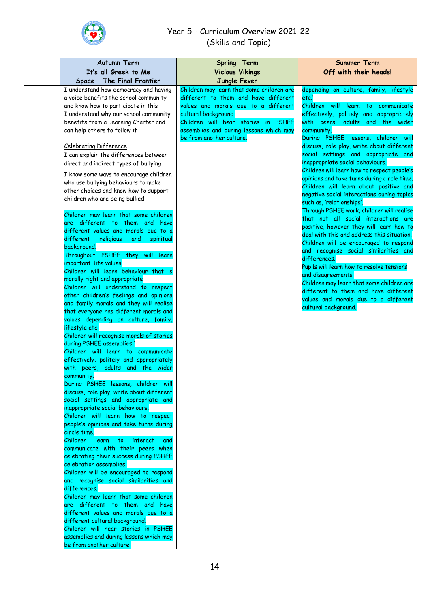

| <b>Autumn Term</b>                                                               | Spring Term                               | <b>Summer Term</b>                                                      |
|----------------------------------------------------------------------------------|-------------------------------------------|-------------------------------------------------------------------------|
| It's all Greek to Me<br>Space - The Final Frontier                               | <b>Vicious Vikings</b><br>Jungle Fever    | Off with their heads!                                                   |
| I understand how democracy and having                                            | Children may learn that some children are | depending on culture, family, lifestyle                                 |
| a voice benefits the school community                                            | different to them and have different      | etc.'                                                                   |
| and know how to participate in this                                              | values and morals due to a different      | Children will<br>learn to<br>communicate                                |
| I understand why our school community                                            | cultural background.                      | effectively, politely and appropriately                                 |
| benefits from a Learning Charter and                                             | Children will hear stories in PSHEE       | with peers, adults and the wider                                        |
| can help others to follow it                                                     | assemblies and during lessons which may   | community.                                                              |
|                                                                                  | be from another culture.                  | During PSHEE lessons, children will                                     |
| <b>Celebrating Difference</b>                                                    |                                           | discuss, role play, write about different                               |
| I can explain the differences between                                            |                                           | social settings and appropriate and                                     |
| direct and indirect types of bullying                                            |                                           | inappropriate social behaviours.                                        |
| I know some ways to encourage children                                           |                                           | Children will learn how to respect people's                             |
| who use bullying behaviours to make                                              |                                           | opinions and take turns during circle time.                             |
| other choices and know how to support                                            |                                           | Children will learn about positive and                                  |
| children who are being bullied                                                   |                                           | negative social interactions during topics<br>such as, 'relationships'. |
|                                                                                  |                                           | Through PSHEE work, children will realise                               |
| Children may learn that some children                                            |                                           | that not all social interactions are                                    |
| are different to them and have                                                   |                                           | positive, however they will learn how to                                |
| different values and morals due to a                                             |                                           | deal with this and address this situation.                              |
| different<br>religious<br>spiritual<br>and                                       |                                           | Children will be encouraged to respond                                  |
| background.                                                                      |                                           | and recognise social similarities and                                   |
| Throughout PSHEE they will learn<br>important life values                        |                                           | differences.                                                            |
| Children will learn behaviour that is                                            |                                           | Pupils will learn how to resolve tensions                               |
| morally right and appropriate                                                    |                                           | and disagreements.                                                      |
| Children will understand to respect                                              |                                           | Children may learn that some children are                               |
| other children's feelings and opinions                                           |                                           | different to them and have different                                    |
| and family morals and they will realise                                          |                                           | values and morals due to a different<br>cultural background.            |
| that everyone has different morals and                                           |                                           |                                                                         |
| values depending on culture, family,                                             |                                           |                                                                         |
| lifestyle etc.                                                                   |                                           |                                                                         |
| Children will recognise morals of stories                                        |                                           |                                                                         |
| during PSHEE assemblies'                                                         |                                           |                                                                         |
| Children will learn to communicate<br>effectively, politely and appropriately    |                                           |                                                                         |
| with peers, adults and the wider                                                 |                                           |                                                                         |
| community.                                                                       |                                           |                                                                         |
| During PSHEE lessons, children will                                              |                                           |                                                                         |
| discuss, role play, write about different                                        |                                           |                                                                         |
| social settings and appropriate and                                              |                                           |                                                                         |
| inappropriate social behaviours.                                                 |                                           |                                                                         |
| Children will learn how to respect                                               |                                           |                                                                         |
| people's opinions and take turns during                                          |                                           |                                                                         |
| circle time.                                                                     |                                           |                                                                         |
| Children learn<br>to the<br>interact<br>and<br>communicate with their peers when |                                           |                                                                         |
| celebrating their success during PSHEE                                           |                                           |                                                                         |
| celebration assemblies.                                                          |                                           |                                                                         |
| Children will be encouraged to respond                                           |                                           |                                                                         |
| and recognise social similarities and                                            |                                           |                                                                         |
| differences.                                                                     |                                           |                                                                         |
| Children may learn that some children                                            |                                           |                                                                         |
| are different to them and have                                                   |                                           |                                                                         |
| different values and morals due to a                                             |                                           |                                                                         |
| different cultural background.                                                   |                                           |                                                                         |
| Children will hear stories in PSHEE                                              |                                           |                                                                         |
| assemblies and during lessons which may<br>be from another culture.              |                                           |                                                                         |
|                                                                                  |                                           |                                                                         |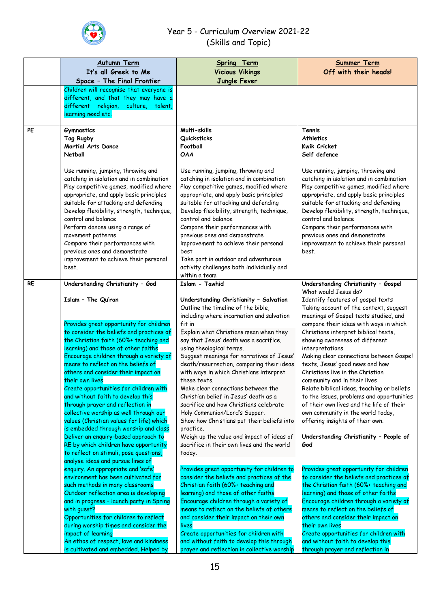

|           | <b>Autumn Term</b>                                                                                                                                                                                                                                                                                                                                                                                                                                                                                                                                                                                                                                                                                                                | Spring Term                                                                                                                                                                                                                                                                                                                                                                                                                                                                                                                                                                                           | <b>Summer Term</b>                                                                                                                                                                                                                                                                                                                                                                                                                                                                                                                                    |
|-----------|-----------------------------------------------------------------------------------------------------------------------------------------------------------------------------------------------------------------------------------------------------------------------------------------------------------------------------------------------------------------------------------------------------------------------------------------------------------------------------------------------------------------------------------------------------------------------------------------------------------------------------------------------------------------------------------------------------------------------------------|-------------------------------------------------------------------------------------------------------------------------------------------------------------------------------------------------------------------------------------------------------------------------------------------------------------------------------------------------------------------------------------------------------------------------------------------------------------------------------------------------------------------------------------------------------------------------------------------------------|-------------------------------------------------------------------------------------------------------------------------------------------------------------------------------------------------------------------------------------------------------------------------------------------------------------------------------------------------------------------------------------------------------------------------------------------------------------------------------------------------------------------------------------------------------|
|           | It's all Greek to Me                                                                                                                                                                                                                                                                                                                                                                                                                                                                                                                                                                                                                                                                                                              | <b>Vicious Vikings</b>                                                                                                                                                                                                                                                                                                                                                                                                                                                                                                                                                                                | Off with their heads!                                                                                                                                                                                                                                                                                                                                                                                                                                                                                                                                 |
|           | Space - The Final Frontier                                                                                                                                                                                                                                                                                                                                                                                                                                                                                                                                                                                                                                                                                                        | Jungle Fever                                                                                                                                                                                                                                                                                                                                                                                                                                                                                                                                                                                          |                                                                                                                                                                                                                                                                                                                                                                                                                                                                                                                                                       |
|           | Children will recognise that everyone is<br>different, and that they may have a<br>different religion, culture,<br>talent,<br>learning need etc.                                                                                                                                                                                                                                                                                                                                                                                                                                                                                                                                                                                  |                                                                                                                                                                                                                                                                                                                                                                                                                                                                                                                                                                                                       |                                                                                                                                                                                                                                                                                                                                                                                                                                                                                                                                                       |
| PE        | <b>Gymnastics</b><br>Tag Rugby<br>Martial Arts Dance<br>Netball                                                                                                                                                                                                                                                                                                                                                                                                                                                                                                                                                                                                                                                                   | Multi-skills<br>Quicksticks<br>Football<br><b>OAA</b>                                                                                                                                                                                                                                                                                                                                                                                                                                                                                                                                                 | Tennis<br><b>Athletics</b><br><b>Kwik Cricket</b><br>Self defence                                                                                                                                                                                                                                                                                                                                                                                                                                                                                     |
|           | Use running, jumping, throwing and<br>catching in isolation and in combination<br>Play competitive games, modified where<br>appropriate, and apply basic principles<br>suitable for attacking and defending<br>Develop flexibility, strength, technique,<br>control and balance<br>Perform dances using a range of<br>movement patterns<br>Compare their performances with<br>previous ones and demonstrate<br>improvement to achieve their personal<br>best.                                                                                                                                                                                                                                                                     | Use running, jumping, throwing and<br>catching in isolation and in combination<br>Play competitive games, modified where<br>appropriate, and apply basic principles<br>suitable for attacking and defending<br>Develop flexibility, strength, technique,<br>control and balance<br>Compare their performances with<br>previous ones and demonstrate<br>improvement to achieve their personal<br>best<br>Take part in outdoor and adventurous<br>activity challenges both individually and<br>within a team                                                                                            | Use running, jumping, throwing and<br>catching in isolation and in combination<br>Play competitive games, modified where<br>appropriate, and apply basic principles<br>suitable for attacking and defending<br>Develop flexibility, strength, technique,<br>control and balance<br>Compare their performances with<br>previous ones and demonstrate<br>improvement to achieve their personal<br>best.                                                                                                                                                 |
| <b>RE</b> | Understanding Christianity - God<br>Islam - The Qu'ran                                                                                                                                                                                                                                                                                                                                                                                                                                                                                                                                                                                                                                                                            | Islam - Tawhid<br>Understanding Christianity - Salvation<br>Outline the timeline of the bible,<br>including where incarnation and salvation                                                                                                                                                                                                                                                                                                                                                                                                                                                           | Understanding Christianity - Gospel<br>What would Jesus do?<br>Identify features of gospel texts<br>Taking account of the context, suggest<br>meanings of Gospel texts studied, and                                                                                                                                                                                                                                                                                                                                                                   |
|           | Provides great opportunity for children<br>to consider the beliefs and practices of<br>the Christian faith (60%+ teaching and<br>learning) and those of other faiths<br>Encourage children through a variety of<br>means to reflect on the beliefs of<br>others and consider their impact on<br>their own lives<br>Create opportunities for children with<br>and without faith to develop this<br>through prayer and reflection in<br>collective worship as well through our<br>values (Christian values for life) which<br>is embedded through worship and class<br>Deliver an enquiry-based approach to<br>RE by which children have opportunity<br>to reflect on stimuli, pose questions,<br>analyse ideas and pursue lines of | fit in<br>Explain what Christians mean when they<br>say that Jesus' death was a sacrifice,<br>using theological terms.<br>Suggest meanings for narratives of Jesus'<br>death/resurrection, comparing their ideas<br>with ways in which Christians interpret<br>these texts.<br>Make clear connections between the<br>Christian belief in Jesus' death as a<br>sacrifice and how Christians celebrate<br>Holy Communion/Lord's Supper.<br>Show how Christians put their beliefs into<br>practice.<br>Weigh up the value and impact of ideas of<br>sacrifice in their own lives and the world<br>today. | compare their ideas with ways in which<br>Christians interpret biblical texts,<br>showing awareness of different<br>interpretations<br>Making clear connections between Gospel<br>texts, Jesus' good news and how<br>Christians live in the Christian<br>community and in their lives<br>Relate biblical ideas, teaching or beliefs<br>to the issues, problems and opportunities<br>of their own lives and the life of their<br>own community in the world today,<br>offering insights of their own.<br>Understanding Christianity - People of<br>God |
|           | enquiry. An appropriate and 'safe'<br>environment has been cultivated for<br>such methods in many classrooms<br>Outdoor reflection area is developing<br>and in progress - launch party in Spring<br>with guest?<br>Opportunities for children to reflect<br>during worship times and consider the<br>impact of learning<br>An ethos of respect, love and kindness<br>is cultivated and embedded. Helped by                                                                                                                                                                                                                                                                                                                       | Provides great opportunity for children to<br>consider the beliefs and practices of the<br>Christian faith (60%+ teaching and<br>learning) and those of other faiths<br>Encourage children through a variety of<br>means to reflect on the beliefs of others<br>and consider their impact on their own<br>lives<br>Create opportunities for children with<br>and without faith to develop this through<br>prayer and reflection in collective worship                                                                                                                                                 | Provides great opportunity for children<br>to consider the beliefs and practices of<br>the Christian faith (60%+ teaching and<br>learning) and those of other faiths<br>Encourage children through a variety of<br>means to reflect on the beliefs of<br>others and consider their impact on<br>their own lives<br>Create opportunities for children with<br>and without faith to develop this<br>through prayer and reflection in                                                                                                                    |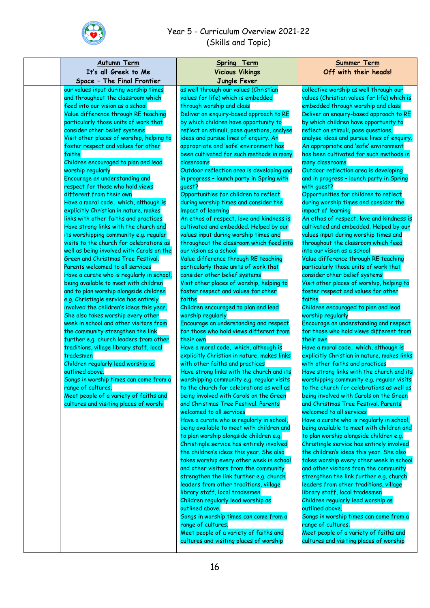

| <u>Autumn Term</u>                                                                 | <b>Spring Term</b>                                                                   | <b>Summer Term</b>                                                                    |
|------------------------------------------------------------------------------------|--------------------------------------------------------------------------------------|---------------------------------------------------------------------------------------|
| It's all Greek to Me                                                               | <b>Vicious Vikings</b>                                                               | Off with their heads!                                                                 |
| Space - The Final Frontier                                                         | Jungle Fever                                                                         |                                                                                       |
| our values input during worship times<br>and throughout the classroom which        | as well through our values (Christian<br>values for life) which is embedded          | collective worship as well through our<br>values (Christian values for life) which is |
| feed into our vision as a school                                                   | through worship and class                                                            | embedded through worship and class                                                    |
| Value difference through RE teaching                                               | Deliver an enquiry-based approach to RE                                              | Deliver an enquiry-based approach to RE                                               |
| particularly those units of work that                                              | by which children have opportunity to                                                | by which children have opportunity to                                                 |
| consider other belief systems                                                      | reflect on stimuli, pose questions, analyse                                          | reflect on stimuli, pose questions,                                                   |
| Visit other places of worship, helping to                                          | ideas and pursue lines of enquiry. An                                                | analyse ideas and pursue lines of enquiry.                                            |
| foster respect and values for other                                                | appropriate and 'safe' environment has                                               | An appropriate and 'safe' environment                                                 |
| faiths                                                                             | been cultivated for such methods in many                                             | has been cultivated for such methods in                                               |
| Children encouraged to plan and lead                                               | classrooms                                                                           | many classrooms                                                                       |
| worship regularly<br>Encourage an understanding and                                | Outdoor reflection area is developing and                                            | Outdoor reflection area is developing                                                 |
| respect for those who hold views                                                   | in progress - launch party in Spring with<br>quest?                                  | and in progress - launch party in Spring<br>with guest?                               |
| different from their own                                                           | Opportunities for children to reflect                                                | Opportunities for children to reflect                                                 |
| Have a moral code, which, although is                                              | during worship times and consider the                                                | during worship times and consider the                                                 |
| explicitly Christian in nature, makes                                              | impact of learning                                                                   | impact of learning                                                                    |
| links with other faiths and practices                                              | An ethos of respect, love and kindness is                                            | An ethos of respect, love and kindness is                                             |
| Have strong links with the church and                                              | cultivated and embedded. Helped by our                                               | cultivated and embedded. Helped by our                                                |
| its worshipping community e.g. regular                                             | values input during worship times and                                                | values input during worship times and                                                 |
| visits to the church for celebrations as                                           | throughout the classroom which feed into                                             | throughout the classroom which feed                                                   |
| well as being involved with Carols on the                                          | our vision as a school                                                               | into our vision as a school                                                           |
| <b>Green and Christmas Tree Festival.</b>                                          | Value difference through RE teaching                                                 | Value difference through RE teaching                                                  |
| Parents welcomed to all services<br>Have a curate who is regularly in school,      | particularly those units of work that<br>consider other belief systems               | particularly those units of work that<br>consider other belief systems                |
| being available to meet with children                                              | Visit other places of worship, helping to                                            | Visit other places of worship, helping to                                             |
| and to plan worship alongside children                                             | foster respect and values for other                                                  | foster respect and values for other                                                   |
| e.g. Christingle service has entirely                                              | faiths                                                                               | faiths                                                                                |
| involved the children's ideas this year.                                           | Children encouraged to plan and lead                                                 | Children encouraged to plan and lead                                                  |
| She also takes worship every other                                                 | worship regularly                                                                    | worship regularly                                                                     |
| week in school and other visitors from                                             | Encourage an understanding and respect                                               | Encourage an understanding and respect                                                |
| the community strengthen the link                                                  | for those who hold views different from                                              | for those who hold views different from                                               |
| further e.g. church leaders from other<br>traditions, village library staff, local | their own<br>Have a moral code, which, although is                                   | their own<br>Have a moral code, which, although is                                    |
| tradesmen                                                                          | explicitly Christian in nature, makes links                                          | explicitly Christian in nature, makes links                                           |
| Children regularly lead worship as                                                 | with other faiths and practices                                                      | with other faiths and practices                                                       |
| outlined above.                                                                    | Have strong links with the church and its                                            | Have strong links with the church and its                                             |
| Songs in worship times can come from a                                             | worshipping community e.g. regular visits                                            | worshipping community e.g. regular visits                                             |
| range of cultures.                                                                 | to the church for celebrations as well as                                            | to the church for celebrations as well as                                             |
| Meet people of a variety of faiths and                                             | being involved with Carols on the Green                                              | being involved with Carols on the Green                                               |
| cultures and visiting places of worshi                                             | and Christmas Tree Festival. Parents                                                 | and Christmas Tree Festival. Parents                                                  |
|                                                                                    | welcomed to all services                                                             | welcomed to all services                                                              |
|                                                                                    | Have a curate who is regularly in school,                                            | Have a curate who is regularly in school,                                             |
|                                                                                    | being available to meet with children and<br>to plan worship alongside children e.g. | being available to meet with children and<br>to plan worship alongside children e.g.  |
|                                                                                    | Christingle service has entirely involved                                            | Christingle service has entirely involved                                             |
|                                                                                    | the children's ideas this year. She also                                             | the children's ideas this year. She also                                              |
|                                                                                    | takes worship every other week in school                                             | takes worship every other week in school                                              |
|                                                                                    | and other visitors from the community                                                | and other visitors from the community                                                 |
|                                                                                    | strengthen the link further e.g. church                                              | strengthen the link further e.g. church                                               |
|                                                                                    | leaders from other traditions, village                                               | leaders from other traditions, village                                                |
|                                                                                    | library staff, local tradesmen                                                       | library staff, local tradesmen                                                        |
|                                                                                    | Children regularly lead worship as                                                   | Children regularly lead worship as                                                    |
|                                                                                    | outlined above.                                                                      | outlined above.                                                                       |
|                                                                                    | Songs in worship times can come from a<br>range of cultures.                         | Songs in worship times can come from a<br>range of cultures.                          |
|                                                                                    | Meet people of a variety of faiths and                                               | Meet people of a variety of faiths and                                                |
|                                                                                    | cultures and visiting places of worship                                              | cultures and visiting places of worship                                               |
|                                                                                    |                                                                                      |                                                                                       |
|                                                                                    |                                                                                      |                                                                                       |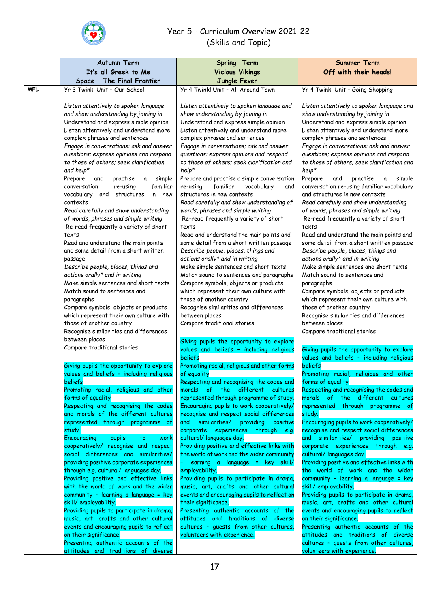

|                                                                                                                                                                                                                                                                                                                                                                                                                                                                                                                                                                                                                                                                                                                                                                                                                                                                                                                                                    | <b>Autumn Term</b><br>It's all Greek to Me<br>Space - The Final Frontier                                                                                                                                                                                                                                                                                                                                                                                                                                                                                                                                                                                                                                                                                                                                                                                                                                                                                                                                               | Spring Term<br><b>Vicious Vikings</b><br>Jungle Fever                                                                                                                                                                                                                                                                                                                                                                                                                                                                                                                                                                                                                                                                                                                                                                                                                                                                                                                                                                        | <b>Summer Term</b><br>Off with their heads!                                                                                                                                                                                                                                                                                                                                                                                                                                                                                                                                                                                                                                                                                                                                                                                                                                                                              |
|----------------------------------------------------------------------------------------------------------------------------------------------------------------------------------------------------------------------------------------------------------------------------------------------------------------------------------------------------------------------------------------------------------------------------------------------------------------------------------------------------------------------------------------------------------------------------------------------------------------------------------------------------------------------------------------------------------------------------------------------------------------------------------------------------------------------------------------------------------------------------------------------------------------------------------------------------|------------------------------------------------------------------------------------------------------------------------------------------------------------------------------------------------------------------------------------------------------------------------------------------------------------------------------------------------------------------------------------------------------------------------------------------------------------------------------------------------------------------------------------------------------------------------------------------------------------------------------------------------------------------------------------------------------------------------------------------------------------------------------------------------------------------------------------------------------------------------------------------------------------------------------------------------------------------------------------------------------------------------|------------------------------------------------------------------------------------------------------------------------------------------------------------------------------------------------------------------------------------------------------------------------------------------------------------------------------------------------------------------------------------------------------------------------------------------------------------------------------------------------------------------------------------------------------------------------------------------------------------------------------------------------------------------------------------------------------------------------------------------------------------------------------------------------------------------------------------------------------------------------------------------------------------------------------------------------------------------------------------------------------------------------------|--------------------------------------------------------------------------------------------------------------------------------------------------------------------------------------------------------------------------------------------------------------------------------------------------------------------------------------------------------------------------------------------------------------------------------------------------------------------------------------------------------------------------------------------------------------------------------------------------------------------------------------------------------------------------------------------------------------------------------------------------------------------------------------------------------------------------------------------------------------------------------------------------------------------------|
| <b>MFL</b>                                                                                                                                                                                                                                                                                                                                                                                                                                                                                                                                                                                                                                                                                                                                                                                                                                                                                                                                         | Yr 3 Twinkl Unit - Our School                                                                                                                                                                                                                                                                                                                                                                                                                                                                                                                                                                                                                                                                                                                                                                                                                                                                                                                                                                                          | Yr 4 Twinkl Unit - All Around Town                                                                                                                                                                                                                                                                                                                                                                                                                                                                                                                                                                                                                                                                                                                                                                                                                                                                                                                                                                                           | Yr 4 Twinkl Unit - Going Shopping                                                                                                                                                                                                                                                                                                                                                                                                                                                                                                                                                                                                                                                                                                                                                                                                                                                                                        |
| Listen attentively to spoken language<br>and show understanding by joining in<br>Understand and express simple opinion<br>Listen attentively and understand more<br>complex phrases and sentences<br>Engage in conversations; ask and answer<br>questions; express opinions and respond<br>to those of others; seek clarification<br>and help*<br>$help*$<br>Prepare<br>practise<br>simple<br>and<br>a<br>familiar<br>conversation<br>re-using<br>vocabulary and<br>in new<br>structures<br>contexts<br>Read carefully and show understanding<br>of words, phrases and simple writing<br>Re-read frequently a variety of short<br>texts<br>texts<br>Read and understand the main points<br>and some detail from a short written<br>passage<br>Describe people, places, things and<br>actions orally* and in writing<br>Make simple sentences and short texts<br>Match sound to sentences and<br>paragraphs<br>Compare symbols, objects or products | Listen attentively to spoken language and<br>show understanding by joining in<br>Understand and express simple opinion<br>Listen attentively and understand more<br>complex phrases and sentences<br>Engage in conversations; ask and answer<br>questions; express opinions and respond<br>to those of others; seek clarification and<br>Prepare and practise a simple conversation<br>re-using<br>familiar<br>vocabulary<br>and<br>structures in new contexts<br>Read carefully and show understanding of<br>words, phrases and simple writing<br>Re-read frequently a variety of short<br>Read and understand the main points and<br>some detail from a short written passage<br>Describe people, places, things and<br>actions orally* and in writing<br>Make simple sentences and short texts<br>Match sound to sentences and paragraphs<br>Compare symbols, objects or products<br>which represent their own culture with<br>those of another country<br>Recognise similarities and differences<br>between places | Listen attentively to spoken language and<br>show understanding by joining in<br>Understand and express simple opinion<br>Listen attentively and understand more<br>complex phrases and sentences<br>Engage in conversations; ask and answer<br>questions; express opinions and respond<br>to those of others; seek clarification and<br>help*<br>Prepare<br>practise<br>simple<br>and<br>a<br>conversation re-using familiar vocabulary<br>and structures in new contexts<br>Read carefully and show understanding<br>of words, phrases and simple writing<br>Re-read frequently a variety of short<br>texts<br>Read and understand the main points and<br>some detail from a short written passage<br>Describe people, places, things and<br>actions orally* and in writing<br>Make simple sentences and short texts<br>Match sound to sentences and<br>paragraphs<br>Compare symbols, objects or products<br>which represent their own culture with<br>those of another country<br>Recognise similarities and differences |                                                                                                                                                                                                                                                                                                                                                                                                                                                                                                                                                                                                                                                                                                                                                                                                                                                                                                                          |
|                                                                                                                                                                                                                                                                                                                                                                                                                                                                                                                                                                                                                                                                                                                                                                                                                                                                                                                                                    | which represent their own culture with<br>those of another country<br>Recognise similarities and differences<br>between places<br>Compare traditional stories                                                                                                                                                                                                                                                                                                                                                                                                                                                                                                                                                                                                                                                                                                                                                                                                                                                          | Compare traditional stories<br>Giving pupils the opportunity to explore<br>values and beliefs - including religious                                                                                                                                                                                                                                                                                                                                                                                                                                                                                                                                                                                                                                                                                                                                                                                                                                                                                                          | between places<br>Compare traditional stories<br>Giving pupils the opportunity to explore                                                                                                                                                                                                                                                                                                                                                                                                                                                                                                                                                                                                                                                                                                                                                                                                                                |
|                                                                                                                                                                                                                                                                                                                                                                                                                                                                                                                                                                                                                                                                                                                                                                                                                                                                                                                                                    | Giving pupils the opportunity to explore<br>values and beliefs - including religious<br>beliefs<br>Promoting racial, religious and other<br>forms of equality<br>Respecting and recognising the codes<br>and morals of the different cultures<br>represented through programme of<br>study.<br>Encouraging<br>pupils<br>to.<br>work<br>cooperatively/ recognise and respect<br>social differences and similarities/<br>providing positive corporate experiences<br>through e.g. cultural/languages day.<br>Providing positive and effective links<br>with the world of work and the wider<br>community - learning a language = key<br>skill/employability.<br>Providing pupils to participate in drama,<br>music, art, crafts and other cultural<br>events and encouraging pupils to reflect<br>on their significance.<br>Presenting authentic accounts of the<br>attitudes and traditions of diverse                                                                                                                  | beliefs<br>Promoting racial, religious and other forms<br>of equality<br>Respecting and recognising the codes and<br>different<br>the<br>cultures<br>morals<br>of :<br>represented through programme of study.<br>Encouraging pupils to work cooperatively/<br>recognise and respect social differences<br>and similarities/ providing positive<br>corporate experiences through e.g.<br>cultural/languages day.<br>Providing positive and effective links with<br>the world of work and the wider community<br>learning a language = key skill/<br>employability.<br>Providing pupils to participate in drama,<br>music, art, crafts and other cultural<br>events and encouraging pupils to reflect on<br>their significance.<br>Presenting authentic accounts of the<br>attitudes and traditions of diverse<br>cultures - guests from other cultures,<br>volunteers with experience.                                                                                                                                       | values and beliefs - including religious<br>beliefs<br>Promoting racial, religious and other<br>forms of equality<br>Respecting and recognising the codes and<br>morals of the different cultures<br>represented through programme of<br>study.<br>Encouraging pupils to work cooperatively/<br>recognise and respect social differences<br>and similarities/ providing positive<br>corporate experiences through e.g.<br>cultural/languages day.<br>Providing positive and effective links with<br>the world of work and the wider<br>community - learning a language = key<br>skill/employability.<br>Providing pupils to participate in drama,<br>music, art, crafts and other cultural<br>events and encouraging pupils to reflect<br>on their significance.<br>Presenting authentic accounts of the<br>attitudes and traditions of diverse<br>cultures - guests from other cultures,<br>volunteers with experience. |